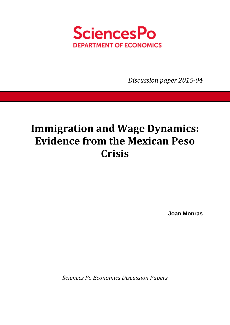

*Discussion paper 2015-04* 

# **Immigration and Wage Dynamics: Evidence from the Mexican Peso Crisis**

**Joan Monras** 

*Sciences Po Economics Discussion Papers*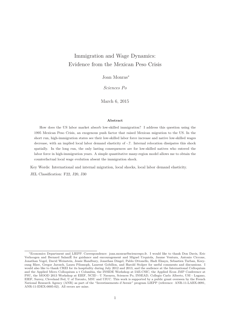# Immigration and Wage Dynamics: Evidence from the Mexican Peso Crisis

Joan Monras<sup>∗</sup>

*Sciences Po*

March 6, 2015

#### **Abstract**

How does the US labor market absorb low-skilled immigration? I address this question using the 1995 Mexican Peso Crisis, an exogenous push factor that raised Mexican migration to the US. In the short run, high-immigration states see their low-skilled labor force increase and native low-skilled wages decrease, with an implied local labor demand elasticity of -.7. Internal relocation dissipates this shock spatially. In the long run, the only lasting consequences are for low-skilled natives who entered the labor force in high-immigration years. A simple quantitative many-region model allows me to obtain the counterfactual local wage evolution absent the immigration shock.

Key Words: International and internal migration, local shocks, local labor demand elasticity.

JEL Classification: F22, J20, J30

<sup>∗</sup>Economics Department and LIEPP. Correspondence: joan.monras@sciencespo.fr. I would like to thank Don Davis, Eric Verhoogen and Bernard SalaniÈ for guidance and encouragement and Miguel Urquiola, Jaume Ventura, Antonio Ciccone, Jonathan Vogel, David Weinstein, Jessie Handbury, Jonathan Dingel, Pablo Ottonello, Hadi Elzayn, Sebastien Turban, Keeyoung Rhee, Gregor Jarosch, Laura Pilossoph, Laurent Gobillon, and Harold Stolper for useful comments and discussions. I would also like to thank CREI for its hospitality during July 2012 and 2013, and the audience at the International Colloquium and the Applied Micro Colloquium a t Columbia, the INSIDE Workshop at IAE-CSIC, the Applied Econ JMP Conference at PSU, the MOOD 2013 Workshop at EIEF, NCID - U Navarra, Sciences Po, INSEAD, Collegio Carlo Alberto, USI - Lugano, EIEF, Surrey, Cleveland Fed, U of Toronto, MSU and UIUC. This work is supported by a public grant overseen by the French National Research Agency (ANR) as part of the "Investissements d'Avenir" program LIEPP (reference: ANR-11-LABX-0091, ANR-11-IDEX-0005-02). All errors are mine.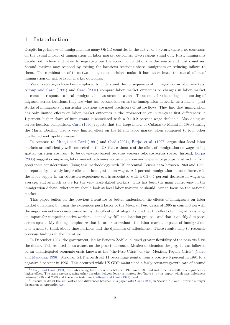# **1 Introduction**

Despite large inflows of immigrants into many OECD countries in the last 20 or 30 years, there is no consensus on the causal impact of immigration on labor market outcomes. Two reasons stand out. First, immigrants decide both where and when to migrate given the economic conditions in the source and host countries. Second, natives may respond by exiting the locations receiving these immigrants or reducing inflows to them. The combination of these two endogenous decisions makes it hard to estimate the causal effect of immigration on native labor market outcomes.

Various strategies have been employed to understand the consequences of immigration on labor markets. Altonji and Card (1991) and Card (2001) compare labor market outcomes or changes in labor market outcomes in response to local immigrant inflows across locations. To account for the endogenous sorting of migrants across locations, they use what has become known as the immigration networks instrument – past stocks of immigrants in particular locations are good predictors of future flows. They find that immigration has only limited effects on labor market outcomes in the cross-section or in ten-year first differences: a 1 percent higher share of immigrants is associated with a  $0.1$ -0.2 percent wage decline.<sup>1</sup> Also doing an across-location comparison, Card (1990) reports that the large inflow of Cubans to Miami in 1980 (during the Mariel Boatlift) had a very limited effect on the Miami labor market when compared to four other unaffected metropolitan areas.<sup>2</sup>

In contrast to Altonji and Card (1991) and Card (2001), Borjas et al. (1997) argue that local labor markets are sufficiently well connected in the US that estimates of the effect of immigration on wages using spatial variation are likely to be downward-biased because workers relocate across space. Instead, Borjas (2003) suggests comparing labor market outcomes across education and experience groups, abstracting from geographic considerations. Using this methodology with US decennial Census data between 1960 and 1990, he reports significantly larger effects of immigration on wages. A 1 percent immigration-induced increase in the labor supply in an education-experience cell is associated with a 0.3-0.4 percent decrease in wages on average, and as much as 0.9 for the very least-skilled workers. This has been the main controversy in the immigration debate: whether we should look at local labor markets or should instead focus on the national market.

This paper builds on the previous literature to better understand the effects of immigrants on labor market outcomes, by using the exogenous push factor of the Mexican Peso Crisis of 1995 in conjunction with the migration networks instrument as my identification strategy. I show that the effect of immigration is large on impact for competing native workers – defined by skill and location groups – and that it quickly dissipates across space. My findings emphasize that in order to evaluate the labor market impacts of immigration, it is crucial to think about time horizons and the dynamics of adjustment. These results help to reconcile previous findings in the literature.

In December 1994, the government, led by Ernesto Zedillo, allowed greater flexibility of the peso vis à vis the dollar. This resulted in an attack on the peso that caused Mexico to abandon the peg. It was followed by an unanticipated economic crisis known as the "the Peso Crisis" or the "Mexican Tequila Crisis" (Calvo and Mendoza, 1996). Mexican GDP growth fell 11 percentage points, from a positive 6 percent in 1994 to a negative 5 percent in 1995. This occurred while US GDP maintained a fairly constant growth rate of around

<sup>1</sup>Altonji and Card (1991) estimates using first differences between 1970 and 1980 and instruments result in a significantly higher effect. The same exercise, using other decades, delivers lower estimates. See Table 6 in this paper, which uses differences between 1990 and 2000 and the same instrument Altonji and Card (1991) used.

<sup>&</sup>lt;sup>2</sup>I discuss in detail the similarities and differences between this paper with Card (1990) in Section A.6 and I provide a longer discussion in Appendix A.6.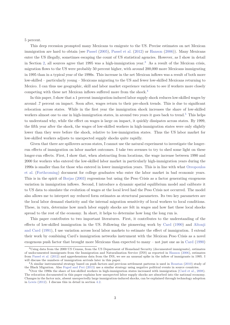5 percent.

This deep recession prompted many Mexicans to emigrate to the US. Precise estimates on net Mexican immigration are hard to obtain (see Passel (2005), Passel et al. (2012) or Hanson (2006)). Many Mexicans enter the US illegally, sometimes escaping the count of US statistical agencies. However, as I show in detail in Section 2, all sources agree that 1995 was a high-immigration year.<sup>3</sup> As a result of the Mexican crisis, migration flows to the US were probably 50 percent higher, with around 200,000 more Mexicans immigrating in 1995 than in a typical year of the 1990s. This increase in the net Mexican inflows was a result of both more low-skilled – particularly young – Mexicans migrating to the US and fewer low-skilled Mexicans returning to Mexico. I can thus use geographic, skill and labor market experience variation to see if workers more closely competing with these net Mexican inflows suffered more from the shock.<sup>4</sup>

In this paper, I show that a 1 percent immigration-induced labor supply shock reduces low-skilled wages by around .7 percent on impact. Soon after, wages return to their pre-shock trends. This is due to significant relocation across states. While in the first year the immigration shock increases the share of low-skilled workers almost one to one in high-immigration states, in around two years it goes back to trend.<sup>5</sup> This helps to understand why, while the effect on wages is large on impact, it quickly dissipates across states. By 1999, the fifth year after the shock, the wages of low-skilled workers in high-immigration states were only slightly lower than they were before the shock, relative to low-immigration states. Thus the US labor market for low-skilled workers adjusts to unexpected supply shocks quite rapidly.

Given that there are spillovers across states, I cannot use the natural experiment to investigate the longerrun effects of immigration on labor market outcomes. I take two avenues to try to shed some light on these longer-run effects. First, I show that, when abstracting from locations, the wage increase between 1990 and 2000 for workers who entered the low-skilled labor market in particularly high-immigration years during the 1990s is smaller than for those who entered in lower immigration years. This is in line with what Oreopoulos et al. (Forthcoming) document for college graduates who enter the labor market in bad economic years. This is in the spirit of Borjas (2003) regressions but using the Peso Crisis as a factor generating exogenous variation in immigration inflows. Second, I introduce a dynamic spatial equilibrium model and calibrate it to US data to simulate the evolution of wages at the local level had the Peso Crisis not occurred. The model also allows me to interpret my reduced form estimates as structural parameters. Its two key parameters are the local labor demand elasticity and the internal migration sensitivity of local workers to local conditions. These, in turn, determine how much labor supply shocks are felt in wages and how fast these local shocks spread to the rest of the economy. In short, it helps to determine how long the long run is.

This paper contributes to two important literatures. First, it contributes to the understanding of the effects of low-skilled immigration in the US. Following the pioneering work by Card (1990) and Altonji and Card (1991), I use variation across local labor markets to estimate the effect of immigration. I extend their work by combining Card's immigration networks instrument with the Mexican Peso Crisis as a novel exogenous push factor that brought more Mexicans than expected to many – not just one as in Card (1990)

 $3$ Using data from the 2000 US Census, from the US Department of Homeland Security (documented immigrants), estimates of undocumented immigrants from the Immigration and Naturalization Service (INS) as reported in Hanson (2006), estimates from Passel et al. (2012) and apprehensions data from the INS, we see an unusual spike in the inflow of immigrants in 1995. I will discuss the numbers of immigration arrivals later in this paper.

<sup>4</sup>A similar instrumental strategy based on push factors and previous settlement patterns is used in Boustan (2010) study of the Black Migration. Also Foged and Peri (2013) use a similar strategy using negative political events in source countries.

 $5$ Over the 1990s the share of low-skilled workers in high-immigration states increased with immigration (Card et al., 2008). The relocation documented in this paper explains how unexpected labor supply shocks are absorbed into the national economy. Changes in the factor mix, absent unexpectedly large immigration-induced shocks, can be explained through technology adoption in Lewis (2012). I discuss this in detail in section 4.2.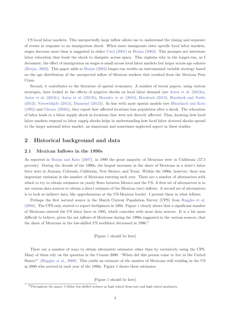– US local labor markets. This unexpectedly large inflow allows me to understand the timing and sequence of events in response to an immigration shock. When more immigrants enter specific local labor markets, wages decrease more than is suggested in either Card (2001) or Borjas (2003). This prompts net interstate labor relocation that leads the shock to dissipate across space. This explains why in the longer-run, as I document, the effect of immigration on wages is small across local labor markets but larger across age cohorts (Borjas, 2003). This paper adds to Borjas (2003) longer-run results an instrumental variable strategy based on the age distribution of the unexpected inflow of Mexican workers that resulted from the Mexican Peso Crisis.

Second, it contributes to the literature of spatial economics. A number of recent papers, using various strategies, have looked at the effects of negative shocks on local labor demand (see Autor et al. (2013a), Autor et al. (2013c), Autor et al. (2013b), Beaudry et al. (2010), Hornbeck (2012), Hornbeck and Naidu (2012), Notowidigdo (2013), Diamond (2013)). In line with most spatial models (see Blanchard and Katz (1992) and Glaeser (2008)), they report how affected locations lose population after a shock. The relocation of labor leads to a labor supply shock in locations that were not directly affected. Thus, knowing how local labor markets respond to labor *supply* shocks helps in understanding how local labor *demand* shocks spread to the larger national labor market, an important and sometimes neglected aspect in these studies.

# **2 Historical background and data**

## **2.1 Mexican Inflows in the 1990s**

As reported in Borjas and Katz (2007), in 1990 the great majority of Mexicans were in California (57.5 percent). During the decade of the 1990s, the largest increases in the share of Mexicans in a state's labor force were in Arizona, Colorado, California, New Mexico, and Texas. Within the 1990s, however, there was important variation in the number of Mexicans entering each year. There are a number of alternatives with which to try to obtain estimates on yearly flows between Mexico and the US. A first set of alternatives is to use various data sources to obtain a direct estimate of the Mexican (net) inflows. A second set of alternatives is to look at indirect data, like apprehensions at the US-Mexican border. I present these in what follows.

Perhaps the first natural source is the March Current Population Survey (CPS) from Ruggles et al. (2008). The CPS only started to report birthplaces in 1994. Figure 1 clearly shows that a significant number of Mexicans entered the US labor force in 1995, which coincides with most data sources. It is a bit more difficult to believe, given the net inflows of Mexicans during the 1990s suggested in the various sources, that the share of Mexicans in the low-skilled US workforce decreased in 1996.<sup>6</sup>

[Figure 1 should be here]

There are a number of ways to obtain alternative estimates other than by exclusively using the CPS. Many of them rely on the question in the Census 2000: "When did this person come to live in the United States?" (Ruggles et al., 2008). This yields an estimate of the number of Mexicans still residing in the US in 2000 who arrived in each year of the 1990s. Figure 2 shows these estimates.

[Figure 2 should be here]

 ${}^{6}\mathrm{Throughout}$  the paper, I define low-skilled workers as high school drop-outs and high school graduates.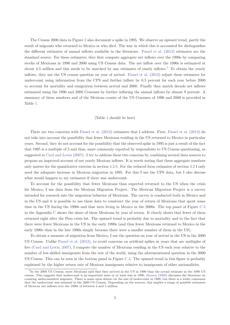The Census 2000 data in Figure 2 also document a spike in 1995. We observe an upward trend, partly the result of migrants who returned to Mexico or who died. The way in which this is accounted for distinguishes the different estimates of annual inflows available in the literature. Passel et al. (2012) estimates are the standard source. For these estimates, they first compute aggregate net inflows over the 1990s by comparing stocks of Mexicans in 1990 and 2000 using US Census data. The net inflow over the 1990s is estimated at about 4-5 million and this needs to be matched by any estimates of yearly inflows.<sup>7</sup> To obtain the yearly inflows, they use the US census question on year of arrival. Passel et al. (2012) adjust these estimates for undercount using information from the CPS and further inflate by 0.5 percent for each year before 2000 to account for mortality and emigration between arrival and 2000. Finally they match decade net inflows estimated using the 1990 and 2000 Censuses by further inflating the annual inflows by almost 9 percent. A summary of these numbers and of the Mexican counts of the US Censuses of 1990 and 2000 is provided in Table 1.

#### [Table 1 should be here]

There are two concerns with Passel et al. (2012) estimates that I address. First, Passel et al. (2012) do not take into account the possibility that fewer Mexicans residing in the US returned to Mexico in particular years. Second, they do not account for the possibility that the observed spike in 1995 is just a result of the fact that 1995 is a multiple of 5 and thus, more commonly reported by respondents to US Census questioning, as suggested in Card and Lewis (2007). I try to address these two concerns by combining several data sources to propose an improved account of net yearly Mexican inflows. It is worth noting that these aggregate numbers only matter for the quantitative exercise in section 4.2.8. For the reduced form estimates of section 3.2 I only need the adequate increase in Mexican migration in 1995. For this I use the CPS data, but I also discuss what would happen to my estimates if there was undercount.

To account for the possibility that fewer Mexicans than expected returned to the US when the crisis hit Mexico, I use data from the Mexican Migration Project. The Mexican Migration Project is a survey intended for research into the migration behavior of Mexicans. The survey is conducted both in Mexico and in the US and it is possible to use these data to construct the year of return of Mexicans that spent some time in the US during the 1990s and that were living in Mexico in the 2000s. The top panel of Figure C.3 in the Appendix C shows the share of these Mexicans by year of return. It clearly shows that fewer of them returned right after the Peso crisis hit. The upward trend is probably due to mortality and to the fact that there were fewer Mexicans in the US in the early 1990s (and thus fewer Mexicans returned to Mexico in the early 1990s than in the late 1990s simply because there were a smaller number of them in the US).

To obtain a measure of migration from Mexico, I use the question on year of arrival in the US in the 2000 US Census. Unlike Passel et al. (2012), to avoid concerns on artificial spikes in years that are multiples of five (Card and Lewis, 2007), I compute the number of Mexicans residing in the US each year relative to the number of low-skilled immigrants from the rest of the world, using the aforementioned question in the 2000 US Census. This can be seen in the bottom panel in Figure C.3. The upward trend in this figure is probably explained by the higher return rate of Mexican immigrants relative to immigrants of other nationalities.

<sup>7</sup> In the 2000 US Census, more Mexicans said that they arrived in the US in 1990 than the actual estimate in the 1990 US census. This suggests that undercount is an important issue or at least was in 1990. Hanson (2006) discusses the literature on counting undocumented migrants. There is some open debate on the size of undercount in 1990, but there is a wider consensus that the undercount was minimal in the 2000 US Census. Depending on the sources, this implies a range of possible estimates of Mexican net inflows over the 1990s of between 4 and 5 million.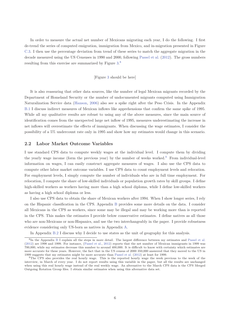In order to measure the actual net number of Mexicans migrating each year, I do the following. I first de-trend the series of computed emigration, immigration from Mexico, and in-migration presented in Figure C.3. I then use the percentage deviation from trend of these series to match the aggregate migration in the decade measured using the US Censuses in 1990 and 2000, following Passel et al. (2012). The gross numbers resulting from this exercise are summarized by Figure 3.<sup>8</sup>

#### [Figure 3 should be here]

It is also reassuring that other data sources, like the number of legal Mexican migrants recorded by the Department of Homeland Security or the number of undocumented migrants computed using Immigration Naturalization Service data (Hanson, 2006) also see a spike right after the Peso Crisis. In the Appendix B.1 I discuss indirect measures of Mexican inflows like apprehensions that confirm the same spike of 1995. While all my qualitative results are robust to using any of the above measures, since the main source of identification comes from the unexpected large net inflow of 1995, measures underestimating the increase in net inflows will overestimate the effects of immigrants. When discussing the wage estimates, I consider the possibility of a 5% undercount rate only in 1995 and show how my estimates would change in this scenario.

#### **2.2 Labor Market Outcome Variables**

I use standard CPS data to compute weekly wages at the individual level. I compute them by dividing the yearly wage income (form the previous year) by the number of weeks worked.<sup>9</sup> From individual-level information on wages, I can easily construct aggregate measures of wages. I also use the CPS data to compute other labor market outcome variables. I use CPS data to count employment levels and relocation. For employment levels, I simply compute the number of individuals who are in full time employment. For relocation, I compute the share of low-skilled individuals or population growth rates by skill groups. I define high-skilled workers as workers having more than a high school diploma, while I define low-skilled workers as having a high school diploma or less.

I also use CPS data to obtain the share of Mexican workers after 1994. When I show longer series, I rely on the Hispanic classification in the CPS. Appendix B provides some more details on the data. I consider all Mexicans in the CPS as workers, since some may be illegal and may be working more than is reported in the CPS. This makes the estimates I provide below conservative estimates. I define natives as all those who are non-Mexicans or non-Hispanics, and use the two interchangeably in the paper. I provide robustness evidence considering only US-born as natives in Appendix A.

In Appendix B.2 I discuss why I decide to use states as the unit of geography for this analysis.

<sup>8</sup> In the Appendix B I explain all the steps in more detail. The largest difference between my estimates and Passel et al. (2012) are 1998 and 1999. For instance, (Passel et al., 2012) reports that the net number of Mexican immigrants in 1999 was 700,000, while my estimates decrease this number to around 400,000. It is difficult to know with certainty which estimates are more accurate for these years. However, the fact that in the US census of 2000 350,000 answered that they moved to the US in 1999 suggests that my estimates might be more accurate than Passel et al. (2012) at least for 1999.

<sup>9</sup>The CPS also provides the real hourly wage. This is the reported hourly wage the week previous to the week of the interview, in March of every year. I do not report results using this variable in the paper, but all the results are unchanged when using this real hourly wage instead of the real weekly wage. An alternative to the March CPS data is the CPS Merged Outgoing Rotation Group files. I obtain similar estimates when using this alternative data set.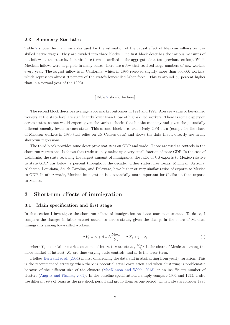#### **2.3 Summary Statistics**

Table 2 shows the main variables used for the estimation of the causal effect of Mexican inflows on lowskilled native wages. They are divided into three blocks. The first block describes the various measures of net inflows at the state level, in absolute terms described in the aggregate data (see previous section). While Mexican inflows were negligible in many states, there are a few that received large numbers of new workers every year. The largest inflow is in California, which in 1995 received slightly more than 300,000 workers, which represents almost 9 percent of the state's low-skilled labor force. This is around 50 percent higher than in a normal year of the 1990s.

#### [Table 2 should be here]

The second block describes average labor market outcomes in 1994 and 1995. Average wages of low-skilled workers at the state level are significantly lower than those of high-skilled workers. There is some dispersion across states, as one would expect given the various shocks that hit the economy and given the potentially different amenity levels in each state. This second block uses exclusively CPS data (except for the share of Mexican workers in 1980 that relies on US Census data) and shows the data that I directly use in my short-run regressions.

The third block provides some descriptive statistics on GDP and trade. Those are used as controls in the short-run regressions. It shows that trade usually makes up a very small fraction of state GDP. In the case of California, the state receiving the largest amount of immigrants, the ratio of US exports to Mexico relative to state GDP was below .7 percent throughout the decade. Other states, like Texas, Michigan, Arizona, Alabama, Louisiana, South Carolina, and Delaware, have higher or very similar ratios of exports to Mexico to GDP. In other words, Mexican immigration is substantially more important for California than exports to Mexico.

# **3 Short-run effects of immigration**

#### **3.1 Main specification and first stage**

In this section I investigate the short-run effects of immigration on labor market outcomes. To do so, I compare the changes in labor market outcomes across states, given the change in the share of Mexican immigrants among low-skilled workers:

$$
\Delta Y_s = \alpha + \beta * \Delta \frac{\text{Mex}_s}{\text{N}_s} + \Delta X_s * \gamma + \varepsilon_s \tag{1}
$$

where  $Y_s$  is our labor market outcome of interest, *s* are states,  $\frac{Mex_s}{N_s}$  is the share of Mexicans among the labor market of interest,  $X_s$  are time-varying state controls, and  $\varepsilon_s$  is the error term.

I follow Bertrand et al. (2004) in first differencing the data and in abstracting from yearly variation. This is the recommended strategy when there is potential serial correlation and when clustering is problematic because of the different size of the clusters (MacKinnon and Webb, 2013) or an insufficient number of clusters (Angrist and Pischke, 2009). In the baseline specification, I simply compare 1994 and 1995. I also use different sets of years as the pre-shock period and group them as one period, while I always consider 1995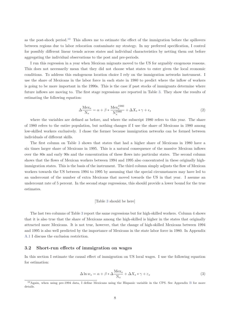as the post-shock period.<sup>10</sup> This allows me to estimate the effect of the immigration before the spillovers between regions due to labor relocation contaminate my strategy. In my preferred specification, I control for possibly different linear trends across states and individual characteristics by netting them out before aggregating the individual observations to the post and pre-periods.

I run this regression in a year when Mexican migrants moved to the US for arguably exogenous reasons. This does not necessarily mean that they did not choose what states to enter given the local economic conditions. To address this endogenous location choice I rely on the immigration networks instrument. I use the share of Mexicans in the labor force in each state in 1980 to predict where the inflow of workers is going to be more important in the 1990s. This is the case if past stocks of immigrants determine where future inflows are moving to. The first stage regressions are reported in Table 3. They show the results of estimating the following equation:

$$
\Delta \frac{\text{Mex}_s}{\text{N}_s} = \alpha + \beta * \frac{\text{Mex}_s^{1980}}{\text{N}_s^{1980}} + \Delta X_s * \gamma + \epsilon_s \tag{2}
$$

where the variables are defined as before, and where the subscript 1980 refers to this year. The share of 1980 refers to the entire population, but nothing changes if I use the share of Mexicans in 1980 among low-skilled workers exclusively. I chose the former because immigration networks can be formed between individuals of different skills.

The first column on Table 3 shows that states that had a higher share of Mexicans in 1980 have a six times larger share of Mexicans in 1995. This is a natural consequence of the massive Mexican inflows over the 80s and early 90s and the concentration of these flows into particular states. The second column shows that the flows of Mexican workers between 1994 and 1995 also concentrated in these originally highimmigration states. This is the basis of the instrument. The third column simply adjusts the flow of Mexican workers towards the US between 1994 to 1995 by assuming that the special circumstances may have led to an undercount of the number of extra Mexicans that moved towards the US in that year. I assume an undercount rate of 5 percent. In the second stage regressions, this should provide a lower bound for the true estimates.

#### [Table 3 should be here]

The last two columns of Table 3 report the same regressions but for high-skilled workers. Column 4 shows that it is also true that the share of Mexicans among the high-skilled is higher in the states that originally attracted more Mexicans. It is not true, however, that the change of high-skilled Mexicans between 1994 and 1995 is also well predicted by the importance of Mexicans in the state labor force in 1980. In Appendix A.1 I discuss the exclusion restriction.

#### **3.2 Short-run effects of immigration on wages**

In this section I estimate the causal effect of immigration on US local wages. I use the following equation for estimation:

$$
\Delta \ln w_s = \alpha + \beta * \Delta \frac{\text{Mex}_s}{\text{N}_s} + \Delta X_s * \gamma + \varepsilon_s \tag{3}
$$

<sup>10</sup>Again, when using pre-1994 data, I define Mexicans using the Hispanic variable in the CPS. See Appendix B for more details.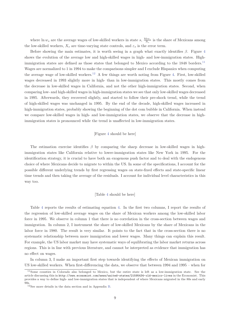where  $\ln w_s$  are the average wages of low-skilled workers in state  $s$ ,  $\frac{\text{Me}x_s}{\text{N}_s}$  is the share of Mexicans among the low-skilled workers,  $X_s$  are time-varying state controls, and  $\varepsilon_s$  is the error term.

Before showing the main estimates, it is worth seeing in a graph what exactly identifies *β*. Figure 4 shows the evolution of the average low and high-skilled wages in high- and low-immigration states. Highimmigration states are defined as those states that belonged to Mexico according to the  $1848$  borders.<sup>11</sup> Wages are normalized to 1 in 1994 to make the comparisons simpler and I exclude Hispanics when computing the average wage of low-skilled workers.<sup>12</sup> A few things are worth noting from Figure 4. First, low-skilled wages decreased in 1993 slightly more in high- than in low-immigration states. This mostly comes from the decrease in low-skilled wages in California, and not the other high-immigration states. Second, when comparing low- and high-skilled wages in high-immigration states we see that only low-skilled wages decreased in 1995. Afterwards, they recovered slightly, and started to follow their pre-shock trend, while the trend of high-skilled wages was unchanged in 1995. By the end of the decade, high-skilled wages increased in high-immigration states, probably showing the beginning of the dot com bubble in California. When instead we compare low-skilled wages in high- and low-immigration states, we observe that the decrease in highimmigration states is pronounced while the trend is unaffected in low-immigration states.

#### [Figure 4 should be here]

The estimation exercise identifies *β* by comparing the sharp decrease in low-skilled wages in highimmigration states like California relative to lower-immigration states like New York in 1995. For the identification strategy, it is crucial to have both an exogenous push factor and to deal with the endogenous choice of where Mexicans decide to migrate to within the US. In some of the specifications, I account for the possible different underlying trends by first regressing wages on state-fixed effects and state-specific linear time trends and then taking the average of the residuals. I account for individual level characteristics in this way too.

#### [Table 4 should be here]

Table 4 reports the results of estimating equation 4. In the first two columns, I report the results of the regression of low-skilled average wages on the share of Mexican workers among the low-skilled labor force in 1995. We observe in column 1 that there is no correlation in the cross-section between wages and immigration. In column 2, I instrument the share of low-skilled Mexicans by the share of Mexicans in the labor force in 1980. The result is very similar. It points to the fact that in the cross-section there is no systematic relationship between more immigration and lower wages. Many things can explain this result. For example, the US labor market may have systematic ways of equilibrating the labor market returns across regions. This is in line with previous literature, and cannot be interpreted as evidence that immigration has no effect on wages.

In column 3, I make an important first step towards identifying the effects of Mexican immigration on US low-skilled workers. When first-differencing the data, we observe that between 1994 and 1995 – when for

<sup>&</sup>lt;sup>11</sup>Some counties in Colorado also belonged to Mexico, but the entire state is left as a low-immigration state. See the article discussing this in http://www.economist.com/news/united-states/21595434-old-mexico-lives in the Economist. This provides a way to define high- and low-immigration states that is independent of where Mexicans migrated in the 80s and early 90s.

 $^{12}\mathrm{See}$  more details in the data section and in Appendix B.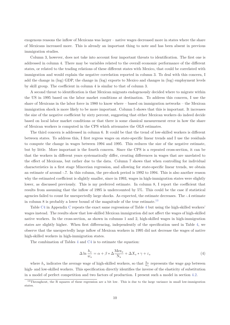exogenous reasons the inflow of Mexicans was larger – native wages decreased more in states where the share of Mexicans increased more. This is already an important thing to note and has been absent in previous immigration studies.

Column 3, however, does not take into account four important threats to identification. The first one is addressed in column 4. There may be variables related to the overall economic performance of the different states, or related to the trading relations of these different states with Mexico, that could be correlated with immigration and would explain the negative correlation reported in column 3. To deal with this concern, I add the change in (log) GDP, the change in (log) exports to Mexico and changes in (log) employment levels by skill group. The coefficient in column 4 is similar to that of column 3.

A second threat to identification is that Mexican migrants endogenously decided where to migrate within the US in 1995 based on the labor market conditions at destination. To address this concern, I use the share of Mexicans in the labor force in 1980 to know where – based on immigration networks – the Mexican immigration shock is more likely to be more important. Column 5 shows that this is important. It increases the size of the negative coefficient by sixty percent, suggesting that either Mexican workers do indeed decide based on local labor market conditions or that there is some classical measurement error in how the share of Mexican workers is computed in the CPS which attenuates the OLS estimates.

The third concern is addressed in column 6. It could be that the trend of low-skilled workers is different between states. To address this, I first regress wages on state-specific linear trends and I use the residuals to compute the change in wages between 1994 and 1995. This reduces the size of the negative estimate, but by little. More important is the fourth concern. Since the CPS is a repeated cross-section, it can be that the workers in different years systematically differ, creating differences in wages that are unrelated to the effect of Mexicans, but rather due to the data. Column 7 shows that when controlling for individual characteristics in a first stage Mincerian regression, and allowing for state-specific linear trends, we obtain an estimate of around -.7. In this column, the pre-shock period is 1992 to 1994. This is also another reason why the estimated coefficient is slightly smaller, since in 1993, wages in high-immigration states were slightly lower, as discussed previously. This is my preferred estimate. In column 8, I report the coefficient that results from assuming that the inflow of 1995 is undercounted by 5%. This could be the case if statistical agencies failed to count for unexpectedly large shocks. As expected, the estimate decreases. The -.4 estimate in column 8 is probably a lower bound of the magnitude of the true estimate.<sup>13</sup>

Table C4 in Appendix C repeats the exact same regressions of Table 4 but using the high-skilled workers' wages instead. The results show that low-skilled Mexican immigration did not affect the wages of high-skilled native workers. In the cross-section, as shown in columns 1 and 2, high-skilled wages in high-immigration states are slightly higher. When first differencing, independently of the specification used in Table 4, we observe that the unexpectedly large inflow of Mexican workers in 1995 did not decrease the wages of native high-skilled workers in high-immigration states.

The combination of Tables 4 and C4 is to estimate the equation:

$$
\Delta \ln \frac{h_s}{w_s} = \alpha + \beta * \Delta \frac{\text{Mex}_s}{\text{N}_s} + \Delta X_s * \gamma + \varepsilon_s \tag{4}
$$

where  $h_s$  indicates the average wage of high-skilled workers, so that  $\frac{h_s}{w_s}$  represents the wage gap between high- and low-skilled workers. This specification directly identifies the inverse of the elasticity of substitution in a model of perfect competition and two factors of production. I present such a model in section 4.2.

<sup>&</sup>lt;sup>13</sup>Throughout, the R squares of these regression are a bit low. This is due to the large variance in small low-immigration states.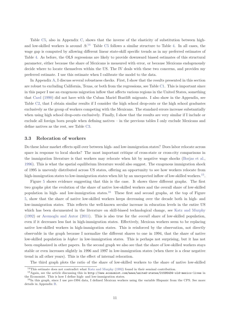Table C5, also in Appendix C, shows that the inverse of the elasticity of substitution between highand low-skilled workers is around .9.<sup>14</sup> Table C5 follows a similar structure to Table 4. In all cases, the wage gap is computed by allowing different linear state-skill specific trends as in my preferred estimates of Table 4. As before, the OLS regressions are likely to provide downward biased estimates of this structural parameter, either because the share of Mexicans is measured with error, or because Mexicans endogenously decide where to locate themselves within the US. The IV deals with these two concerns, and provides my preferred estimate. I use this estimate when I calibrate the model to the data.

In Appendix A, I discuss several robustness checks. First, I show that the results presented in this section are robust to excluding California, Texas, or both from the regressions, see Table C1. This is important since in this paper I use an exogenous migration inflow that affects various regions in the United States, something that Card (1990) did not have with the Cuban Mariel Boatlift migrants. I also show in the Appendix, see Table C2, that I obtain similar results if I consider the high school drop-outs or the high school graduates exclusively as the group of workers competing with the Mexicans. The standard errors increase substantially when using high school drop-outs exclusively. Finally, I show that the results are very similar if I include or exclude all foreign born people when defining natives – in the previous tables I only exclude Mexicans and define natives as the rest, see Table C3.

#### **3.3 Relocation of workers**

Do these labor market effects spill over between high- and low-immigration states? Does labor relocate across space in response to local shocks? The most important critique of cross-state or cross-city comparisons in the immigration literature is that workers may relocate when hit by negative wage shocks (Borjas et al., 1996). This is what the spatial equilibrium literature would also suggest. The exogenous immigration shock of 1995 is unevenly distributed across US states, offering an opportunity to see how workers relocate from high-immigration states to low-immigration states when hit by an unexpected inflow of low-skilled workers.<sup>15</sup>.

Figure 5 shows evidence suggesting that this is the case. It shows three different graphs. The first two graphs plot the evolution of the share of native low-skilled workers and the overall share of low-skilled population in high- and low-immigration states.<sup>16</sup> These first and second graphs, at the top of Figure 5, show that the share of native low-skilled workers keeps decreasing over the decade both in high- and low-immigration states. This reflects the well-known secular increase in education levels in the entire US which has been documented in the literature on skill-biased technological change, see Katz and Murphy (1992) or Acemoglu and Autor (2011). This is also true for the *overall* share of low-skilled population, even if it decreases less fast in high-immigration states. Effectively, Mexican workers seem to be replacing native low-skilled workers in high-immigration states. This is reinforced by the observation, not directly observable in the graph because I normalize the different shares to one in 1994, that the share of native low-skilled population is *higher* in low-immigration states. This is perhaps not surprising, but it has not been emphasized in other papers. In the second graph we also see that the share of low-skilled workers stays stable or even increases slightly in 1996 and 1997 in low-immigration states (when there is a clear negative trend in all other years). This is the effect of internal relocation.

The third graph plots the ratio of the share of low-skilled workers to the share of native low-skilled

<sup>14</sup>This estimate does not contradict what Katz and Murphy (1992) found in their seminal contribution.

<sup>15</sup>Again, see the article discussing this in http://www.economist.com/news/united-states/21595434-old-mexico-lives in the Economist. This is how I define high- and low-immigration states.

 $^{16}$ In this graph, since I use pre-1994 data, I defined Mexican workers using the variable Hispanic from the CPS. See more details in Appendix B.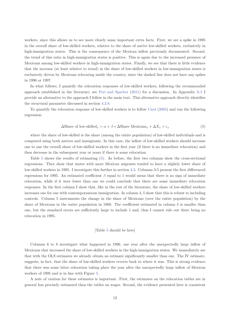workers, since this allows us to see more clearly some important extra facts. First, we see a spike in 1995 in the overall share of low-skilled workers, relative to the share of native low-skilled workers, exclusively in high-immigration states. This is the consequence of the Mexican inflow previously documented. Second, the trend of this ratio in high-immigration states is positive. This is again due to the increased presence of Mexicans among low-skilled workers in high-immigration states. Finally, we see that there is little evidence that the increase (at least relative to trend) in the share of low-skilled workers in low-immigration states is exclusively driven by Mexicans relocating inside the country, since the dashed line does not have any spikes in 1996 or 1997.

In what follows, I quantify the relocation responses of low-skilled workers, following the recommended approach established in the literature, see Peri and Sparber (2011) for a discussion. In Appendix A.5 I provide an alternative to the approach I follow in the main text. This alternative approach directly identifies the structural parameter discussed in section 4.2.8.

To quantify the relocation response of low-skilled workers is to follow Card (2005) and run the following regression:

$$
\Delta \text{Share of low-skilled}_s = \alpha + \beta * \Delta \text{Share Mexicans}_s + \Delta X_s + \varepsilon_s \tag{5}
$$

where the share of low-skilled is the share (among the entire population) of low-skilled individuals and is computed using both natives and immigrants. In this case, the inflow of low-skilled workers should increase one to one the overall share of low-skilled workers in the first year (if there is no immediate relocation) and then decrease in the subsequent year or years if there is some relocation.

Table 5 shows the results of estimating (5). As before, the first two columns show the cross-sectional regressions. They show that states with more Mexican migrants tended to have a slightly lower share of low-skilled workers in 1995. I investigate this further in section 4.3. Columns 3-5 present the first differenced regressions for 1995. An estimated coefficient *β* equal to 1 would mean that there is no sign of immediate relocation, while if it were lower than one we could conclude that there are some immediate relocation responses. In the first column I show that, like in the rest of the literature, the share of low-skilled workers increases one for one with contemporaneous immigration. In column 4, I show that this is robust to including controls. Column 5 instruments the change in the share of Mexicans (over the entire population) by the share of Mexicans in the entire population in 1980. The coefficient estimated in column 5 is smaller than one, but the standard errors are sufficiently large to include 1 and, thus I cannot rule out there being no relocation in 1995.

#### [Table 5 should be here]

Columns 6 to 8 investigate what happened in 1996, one year after the unexpectedly large inflow of Mexicans that increased the share of low-skilled workers in the high-immigration states. We immediately see that with the OLS estimates we already obtain an estimate significantly smaller than one. The IV estimate, suggests, in fact, that the share of low-skilled workers reverts back to where it was. This is strong evidence that there was some labor relocation taking place the year after the unexpectedly large inflow of Mexican workers of 1995 and is in line with Figure 5.

A note of caution for these estimates is important. First, the estimates on the relocation tables are in general less precisely estimated than the tables on wages. Second, the evidence presented here is consistent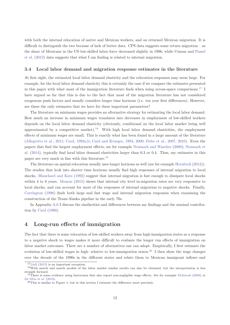with both the internal relocation of native and Mexican workers, and on returned Mexican migration. It is difficult to distinguish the two because of lack of better data. CPS data suggests some return migration – as the share of Mexicans in the US low-skilled labor force decreased slightly in 1996, while Census and Passel et al. (2012) data suggests that what I am finding is related to internal migration.

#### **3.4 Local labor demand and migration response estimates in the literature**

At first sight, the estimated local labor demand elasticity and the relocation responses may seem large. For example, for the local labor demand elasticity this is certainly the case if we compare the estimates presented in this paper with what most of the immigration literature finds when using across-space comparisons.<sup>17</sup> I have argued so far that this is due to the fact that most of the migration literature has not considered exogenous push factors and usually considers longer time horizons (i.e. ten year first differences). However, are these the only estimates that we have for these important parameters?

The literature on minimum wages provides an alternative strategy for estimating the local labor demand. How much an increase in minimum wages translates into decreases in employment of low-skilled workers depends on the local labor demand elasticity (obviously, conditional on the local labor market being well approximated by a competitive market).<sup>18</sup> With high local labor demand elasticities, the employment effects of minimum wages are small. This is exactly what has been found in a large amount of the literature (Allegretto et al., 2011; Card, 1992a,b; Card and Krueger, 1994, 2000; Dube et al., 2007, 2010). Even the papers that find the largest employment effects, see for example Neumark and Wascher (2000); Neumark et al. (2014), typically find local labor demand elasticities larger than 0.3 or 0.4. Thus, my estimates in this paper are very much in line with this literature.<sup>19</sup>

The literature on spatial relocation usually uses longer horizons as well (see for example Hornbeck (2012)). The studies that look into shorter time horizons usually find high responses of internal migration to local shocks. Blanchard and Katz (1992) suggest that internal migration is fast enough to dissipate local shocks within 4 to 8 years. Monras (2015) shows that internal city level in-migration rates are very responsive to local shocks, and can account for most of the responses of internal migration to negative shocks. Finally, Carrington (1996) finds both large and fast wage and internal migration responses when examining the construction of the Trans-Alaska pipeline in the early 70s.

In Appendix A.6 I discuss the similarities and differences between my findings and the seminal contribution by Card (1990).

# **4 Long-run effects of immigration**

The fact that there is some relocation of low-skilled workers away from high-immigration states as a response to a negative shock to wages makes it more difficult to evaluate the longer run effects of immigration on labor market outcomes. There are a number of alternatives one can adopt. Empirically, I first estimate the evolution of low-skilled wages in high- relative to low-immigration states.<sup>20</sup> I then show the wage changes over the decade of the 1990s in the different states and relate them to Mexican immigrant inflows and

<sup>&</sup>lt;sup>17</sup>Llull (2015) is an important exception.

<sup>&</sup>lt;sup>18</sup>With search and match models of the labor market similar results can also be obtained, but the interpretation is less straight forward.

<sup>&</sup>lt;sup>19</sup>There is some evidence using hurricanes that also report non-negligible wage effects. See for example McIntosh (2008) or De Silva et al. (2010).<br><sup>20</sup>This is similar to Figure 4, but in this section I estimate the difference more precisely.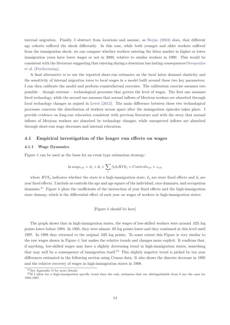internal migration. Finally, I abstract from locations and assume, as Borjas (2003) does, that different age cohorts suffered the shock differently. In this case, while both younger and older workers suffered from the immigration shock, we can compare whether workers entering the labor market in higher or lower immigration years have lower wages or not in 2000, relative to similar workers in 1990. This would be consistent with the literature suggesting that entering during a downturn has lasting consequences Oreopoulos et al. (Forthcoming).

A final alternative is to use the reported short-run estimates on the local labor demand elasticity and the sensitivity of internal migration rates to local wages in a model built around these two key parameters. I can then calibrate the model and perform counterfactual exercises. The calibration exercise assumes two possible – though extreme – technological processes that govern the level of wages. The first one assumes fixed technology, while the second one assumes that normal inflows of Mexican workers are absorbed through local technology changes as argued in Lewis (2012). The main difference between these two technological processes concerns the distribution of workers across space after the immigration episodes takes place. I provide evidence on long-run relocation consistent with previous literature and with the story that normal inflows of Mexican workers are absorbed by technology changes, while unexpected inflows are absorbed through short-run wage decreases and internal relocation.

#### **4.1 Empirical investigation of the longer run effects on wages**

#### **4.1.1 Wage Dynamics**

Figure 4 can be used as the basis for an event type estimation strategy:

$$
\ln wage_{ist} = \delta_s + \delta_t + \sum_t \beta_t \delta_t HIS_s + Controls_{ist} + \varepsilon_{ist}
$$

where  $HIS_s$  indicates whether the state is a high-immigration state,  $\delta_s$  are state fixed effects and  $\delta_t$  are year fixed effects. I include as controls the age and age square of the individual, race dummies, and occupation dummies.<sup>21</sup> Figure 6 plots the coefficients of the interaction of year fixed effects and the high-immigration state dummy, which is the differential effect of each year on wages of workers in high-immigration states:

#### [Figure 6 should be here]

The graph shows that in high-immigration states, the wages of low-skilled workers were around .025 log points lower before 1994. In 1995, they were almost .05 log points lower and they continued at this level until 1997. In 1998 they returned to the original .025 log points. To some extent this Figure is very similar to the raw wages shown in Figure 4, but makes the relative trends and changes more explicit. It confirms that, if anything, low-skilled wages may have a slightly decreasing trend in high-immigration states, something that may well be a consequence of immigration itself.<sup>22</sup> This slightly negative trend is picked by ten year differences estimated in the following section using Census data. It also shows the discrete decrease in 1995 and the relative recovery of wages in high-immigration states in 1998.

 $^{21}\mathrm{See}$  Appendix B for more details.

<sup>&</sup>lt;sup>22</sup>If I allow for a high-immigration specific trend then the only estimates that are distinguishable from 0 are the ones for 1995-1997.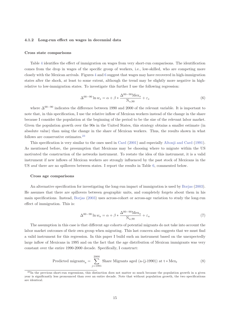#### **4.1.2 Long-run effect on wages in decennial data**

#### **Cross state comparisons**

Table 4 identifies the effect of immigration on wages from very short-run comparisons. The identification comes from the drop in wages of the specific group of workers, i.e., low-skilled, who are competing more closely with the Mexican arrivals. Figures 4 and 6 suggest that wages may have recovered in high-immigration states after the shock, at least to some extent, although the trend may be slightly more negative in highrelative to low-immigration states. To investigate this further I use the following regression:

$$
\Delta^{00-90} \ln w_s = \alpha + \beta * \frac{\Delta^{00-90} \text{Mex}_s}{\text{N}_{s,90}} + \varepsilon_s \tag{6}
$$

where  $\Delta^{00-90}$  indicates the difference between 1990 and 2000 of the relevant variable. It is important to note that, in this specification, I use the relative inflow of Mexican workers instead of the change in the share because I consider the population at the beginning of the period to be the size of the relevant labor market. Given the population growth over the 90s in the United States, this strategy obtains a smaller estimate (in absolute value) than using the change in the share of Mexican workers. Thus, the results shown in what follows are conservative estimates. $23$ 

This specification is very similar to the ones used in Card (2001) and especially Altonji and Card (1991). As mentioned before, the presumption that Mexicans may be choosing where to migrate within the US motivated the construction of the networks instrument. To restate the idea of this instrument, it is a valid instrument if new inflows of Mexican workers are strongly influenced by the past stock of Mexicans in the US *and* there are no spillovers between states. I report the results in Table 6, commented below.

#### **Cross age comparisons**

An alternative specification for investigating the long-run impact of immigration is used by Borjas (2003). He assumes that there are spillovers between geographic units, and completely forgets about them in his main specifications. Instead, Borjas (2003) uses across-cohort or across-age variation to study the long-run effect of immigration. This is:

$$
\Delta^{00-90} \ln w_a = \alpha + \beta * \frac{\Delta^{00-90} \text{Mex}_a}{\text{N}_{a,90}} + \varepsilon_a \tag{7}
$$

The assumption in this case is that different age cohorts of potential migrants do not take into account the labor market outcomes of their own group when migrating. This last concern also suggests that we must find a valid instrument for this regression. In this paper I build such an instrument based on the unexpectedly large inflow of Mexicans in 1995 and on the fact that the age distribution of Mexican immigrants was very constant over the entire 1990-2000 decade. Specifically, I construct:

Predicted migrants<sub>a</sub> = 
$$
\sum_{j=1991}^{2000} \text{Share Migrants aged (a-(j-1990)) at t * Mex}_{t}
$$
 (8)

<sup>&</sup>lt;sup>23</sup>In the previous short-run regressions, this distinction does not matter so much because the population growth in a given year is significantly less pronounced than over an entire decade. Note that without population growth, the two specifications are identical.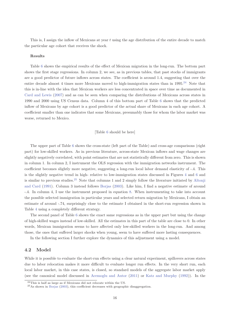This is, I assign the inflow of Mexicans at year *t* using the age distribution of the entire decade to match the particular age cohort that receives the shock.

#### **Results**

Table 6 shows the empirical results of the effect of Mexican migration in the long-run. The bottom part shows the first stage regressions. In column 2, we see, as in previous tables, that past stocks of immigrants are a good predictor of future inflows across states. The coefficient is around 1.4, suggesting that over the entire decade almost 4 times more Mexicans moved to high-immigration states than in  $1995<sup>24</sup>$  Note that this is in-line with the idea that Mexican workers are less concentrated in space over time as documented in Card and Lewis (2007) and as can be seen when comparing the distributions of Mexicans across states in 1990 and 2000 using US Census data. Column 4 of this bottom part of Table 6 shows that the predicted inflow of Mexicans by age cohort is a good predictor of the actual share of Mexicans in each age cohort. A coefficient smaller than one indicates that some Mexicans, presumably those for whom the labor market was worse, returned to Mexico.

#### [Table 6 should be here]

The upper part of Table 6 shows the cross-state (left part of the Table) and cross-age comparisons (right part) for low-skilled workers. As in previous literature, across-state Mexican inflows and wage changes are slightly negatively correlated, with point estimates that are not statistically different from zero. This is shown in column 1. In column 2, I instrument the OLS regression with the immigration networks instrument. The coefficient becomes slightly more negative, suggesting a long-run local labor demand elasticity of -.4. This is the slightly negative trend in high- relative to low-immigration states discussed in Figures 4 and 6 and is similar to previous studies.<sup>25</sup> Note that columns 1 and 2 simply follow the literature initiated by Altonji and Card (1991). Column 3 instead follows Borjas (2003). Like him, I find a negative estimate of around -.4. In column 4, I use the instrument proposed in equation 8. When instrumenting to take into account the possible selected immigration in particular years and selected return migration by Mexicans, I obtain an estimate of around -.74, surprisingly close to the estimate I obtained in the short-run regression shown in Table 4 using a completely different strategy.

The second panel of Table 6 shows the exact same regressions as in the upper part but using the change of high-skilled wages instead of low-skilled. All the estimates in this part of the table are close to 0. In other words, Mexican immigration seems to have affected only low-skilled workers in the long-run. And among those, the ones that suffered larger shocks when young, seem to have suffered more lasting consequences.

In the following section I further explore the dynamics of this adjustment using a model.

#### **4.2 Model**

While it is possible to evaluate the short-run effects using a clear natural experiment, spillovers across states due to labor relocation makes it more difficult to evaluate longer run effects. In the very short run, each local labor market, in this case states, is closed, so standard models of the aggregate labor market apply (see the canonical model discussed in Acemoglu and Autor (2011) or Katz and Murphy (1992)). In the

<sup>24</sup>This is half as large as if Mexicans did not relocate within the US.

<sup>25</sup>As shown in Borjas (2003), this coefficient decreases with geographic disaggregation.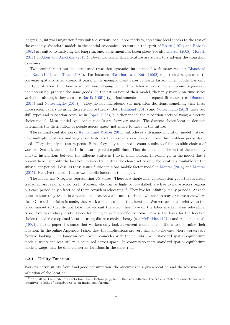longer run, internal migration flows link the various local labor markets, spreading local shocks to the rest of the economy. Standard models in the spatial economics literature in the spirit of Rosen (1974) and Roback (1982) are suited to analyzing the long run, once adjustment has taken place (see also Glaeser (2008), Moretti (2011) or Allen and Arkolakis (2013)). Fewer models in this literature are suited to studying the transition dynamics.

Two seminal contributions introduced transition dynamics into a model with many regions: Blanchard and Katz (1992) and Topel (1986). For instance, Blanchard and Katz (1992) report that wages seem to converge spatially after around 8 years, while unemployment rates converge faster. Their model has only one type of labor, but there is a downward sloping demand for labor in every region because regions do not necessarily produce the same goods. In the estimation of their model, they rely mainly on time series variation, although they also use Bartik (1991) type instruments like subsequent literature (see Diamond (2013) and Notowidigdo (2013)). They do not microfound the migration decisions, something that these more recent papers do using discrete choice theory. Both Diamond (2013) and Notowidigdo (2013) have two skill types and relocation costs, as in Topel (1986), but they model the relocation decision using a discrete choice model. Most spatial equilibrium models are, however, static. The discrete choice location decision determines the distribution of people across space, not where to move in the future.

The seminal contribution of Kennan and Walker (2011) introduces a dynamic migration model instead. The multiple locations and migration histories that workers can choose makes this problem particularly hard. They simplify in two respects. First, they only take into account a subset of the possible choices of workers. Second, their model is, in nature, partial equilibrium. They do not model the rest of the economy and the interactions between the different states as I do in what follows. In exchange, in the model that I present here I simplify the location decision by limiting the choice set to only the locations available for the subsequent period. I discuss these issues further in a one mobile factor model in Monras (2014) and Monras (2015). Relative to these, I have two mobile factors in this paper.

The model has *S* regions representing US states. There is a single final consumption good that is freely traded across regions, at no cost. Workers, who can be high- or low-skilled, are free to move across regions but each period only a fraction of them considers relocating.<sup>26</sup> They live for infinitely many periods. At each point in time they reside in a particular location *s* and need to decide whether to stay or move somewhere else. Once this decision is made, they work and consume in that location. Workers are small relative to the labor market so they do not take into account the effect they have on the labor market when relocating. Also, they have idiosyncratic tastes for living in each specific location. This is the basis for the location choice that derives optimal location using discrete choice theory (see McFadden (1974) and Anderson et al. (1992)). In the paper, I assume that workers only look at current economic conditions to determine their location. In the online Appendix I show that the implications are very similar to the case where workers are forward looking. The long-run equilibrium coincides with the equilibrium in standard spatial equilibrium models, where indirect utility is equalized across space. In contrast to more standard spatial equilibrium models, wages may be different across locations in the short run.

#### **4.2.1 Utility Function**

Workers derive utility from final good consumption, the amenities in a given location and the idiosyncratic valuation of the location:

 $^{26}$ As written, the model abstracts from fixed factors (e.g., land) that can influence the scale of states in order to focus on incentives in light of disturbances to an initial equilibrium.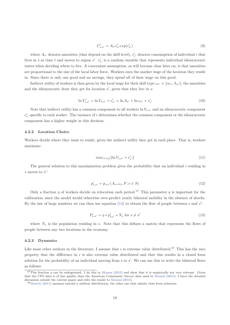$$
U_{s,s'}^i = A_{s'} c_{s'}^i exp(\epsilon_{s'}^i)
$$
\n
$$
(9)
$$

where  $A_{s'}$  denotes amenities (that depend on the skill level),  $c_{s'}^i$  denotes consumption of individual *i* that lives in *s* at time *t* and moves to region *s'*.  $\epsilon_{s'}^i$  is a random variable that represents individual idiosyncratic tastes when deciding where to live. A convenient assumption, as will become clear later on, is that amenities are proportional to the size of the local labor force. Workers earn the market wage of the location they reside in. Since there is only one good and no savings, they spend all of their wage on this good.

Indirect utility of workers is then given by the local wage for their skill type  $\omega_{s'} \in \{w_{s'}, h_{s'}\}$ , the amenities and the idiosyncratic draw they get for location  $s'$ , given that they live in  $s$ .

$$
\ln V_{s,s'}^i = \ln V_{s,s'} + \epsilon_{s'}^i = \ln A_{s'} + \ln \omega_{s'} + \epsilon_{s'}^i
$$
\n(10)

Note that indirect utility has a common component to all workers  $\ln V_{s,s'}$  and an idiosyncratic component  $\epsilon_{s'}^i$  specific to each worker. The variance of  $\epsilon$  determines whether the common component or the idiosyncratic component has a higher weight in this decision.

#### **4.2.2 Location Choice**

Workers decide where they want to reside, given the indirect utility they get in each place. That is, workers maximize:

$$
max_{s' \in S} \{ \ln V_{s,s'} + \epsilon_{s'}^{i} \} \tag{11}
$$

The general solution to this maximization problem gives the probability that an individual *i* residing in *s* moves to *s*<sup>'</sup>:

$$
p_{s,s'}^i = p_{s,s'}(A_s, \omega_s, F; s \in S)
$$
\n(12)

Only a fraction  $\eta$  of workers decide on relocation each period.<sup>27</sup> This parameter  $\eta$  is important for the calibration, since the model would otherwise over-predict yearly bilateral mobility in the absence of shocks. By the law of large numbers we can then use equation (12) to obtain the flow of people between *s* and *s'*:

$$
P_{s,s'} = \eta * p_{s,s'}^i * N_s \text{ for } s \neq s'
$$
\n
$$
(13)
$$

where  $N_s$  is the population residing in *s*. Note that this defines a matrix that represents the flows of people between any two locations in the economy.

#### **4.2.3 Dynamics**

Like most other authors in the literature, I assume that  $\epsilon$  is extreme value distributed.<sup>28</sup> This has the nice property that the difference in  $\epsilon$  is also extreme value distributed and that this results in a closed form solution for the probability of an individual moving from *s* to *s'*. We can use this to write the bilateral flows as follows:

<sup>&</sup>lt;sup>27</sup>This fraction *η* can be endogenized. I do this in Monras (2015) and show that it is empirically not very relevant. Given that the CPS data is of less quality than the American Community Survey data used in Monras (2015), I leave the detailed discussion outside the current paper and refer the reader to Monras (2015).<br><sup>28</sup>Moretti (2011) assumes instead a uniform distribution, the other one that admits close form solutions.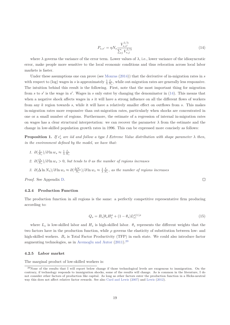$$
P_{s,s'} = \eta N_s \frac{V_{s,s'}^{1/\lambda}}{\sum_j V_{s,j}^{1/\lambda}}
$$
\n(14)

where  $\lambda$  governs the variance of the error term. Lower values of  $\lambda$ , i.e., lower variance of the idiosyncratic error, make people more sensitive to the local economic conditions and thus relocation across local labor markets is faster.

Under these assumptions one can prove (see Monras (2014)) that the derivative of in-migration rates in *s* with respect to (log) wages in *s* is approximately  $\frac{1}{\lambda} \frac{I_s}{N_s}$ , while out-migration rates are generally less responsive. The intuition behind this result is the following. First, note that the most important thing for migration from *s* to *s'* is the wage in *s'*. Wages in *s* only enter by changing the denominator in (14). This means that when a negative shock affects wages in *s* it will have a strong influence on all the different flows of workers from any *k* region towards *s*, while it will have a relatively smaller effect on outflows from *s*. This makes in-migration rates more responsive than out-migration rates, particularly when shocks are concentrated in one or a small number of regions. Furthermore, the estimate of a regression of internal in-migration rates on wages has a clear structural interpretation: we can recover the parameter  $\lambda$  from the estimate and the change in low-skilled population growth rates in 1996. This can be expressed more concisely as follows:

**Proposition 1.** If  $\epsilon_s^i$  are iid and follow a type I Extreme Value distribution with shape parameter  $\lambda$  then, *in the environment defined by the model, we have that:*

- *1.*  $\partial(\frac{I_s}{N_s})/\partial \ln w_s \approx \frac{1}{\lambda}$  $\frac{1}{\lambda} \frac{I_s}{N_s}$
- *2.*  $\partial(\frac{O_s}{N_s})/\partial \ln w_s > 0$ , but tends to 0 as the number of regions increases
- *3.*  $\partial(\Delta \ln N_s)/\partial \ln w_s \approx \partial(\frac{\Delta N_s}{N_s})/\partial \ln w_s \approx \frac{1}{\lambda}$  $\frac{1}{\lambda} \frac{I_s}{N_s}$ , as the number of regions increases

*Proof.* See Appendix D.

#### **4.2.4 Production Function**

The production function in all regions is the same: a perfectly competitive representative firm producing according to:

$$
Q_s = B_s [\theta_s H_s^{\rho} + (1 - \theta_s)L_s^{\rho}]^{1/\rho}
$$
\n(15)

 $\Box$ 

where  $L_s$  is low-skilled labor and  $H_s$  is high-skilled labor.  $\theta_s$  represents the different weights that the two factors have in the production function, while *ρ* governs the elasticity of substitution between low- and high-skilled workers.  $B_s$  is Total Factor Productivity (TFP) in each state. We could also introduce factor augmenting technologies, as in Acemoglu and Autor (2011).<sup>29</sup>

#### **4.2.5 Labor market**

The marginal product of low-skilled workers is:

<sup>&</sup>lt;sup>29</sup>None of the results that I will report below change if those technological levels are exogenous to immigration. On the contrary, if technology responds to immigration shocks, some of the results will change. As is common in the literature, I do not consider other factors of production like capital. As long as other factors enter the production function in a Hicks-neutral way this does not affect relative factor rewards. See also Card and Lewis (2007) and Lewis (2012).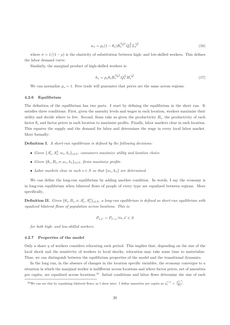$$
w_s = p_s (1 - \theta_s) B_s^{\frac{\sigma - 1}{\sigma}} Q_s^{\frac{1}{\sigma}} L_s^{\frac{-1}{\sigma}}
$$
\n(16)

where  $\sigma = 1/(1 - \rho)$  is the elasticity of substitution between high- and low-skilled workers. This defines the labor demand curve.

Similarly, the marginal product of high-skilled workers is:

$$
h_s = p_s \theta_s B_s^{\frac{\sigma - 1}{\sigma}} Q_s^{\frac{1}{\sigma}} H_s^{\frac{-1}{\sigma}}
$$
\n(17)

We can normalize  $p_s = 1$ . Free trade will guarantee that prices are the same across regions.

#### **4.2.6 Equilibrium**

The definition of the equilibrium has two parts. I start by defining the equilibrium in the short run. It satisfies three conditions. First, given the amenity levels and wages in each location, workers maximize their utility and decide where to live. Second, firms take as given the productivity  $B_s$ , the productivity of each factor *θ<sup>s</sup>* and factor prices in each location to maximize profits. Finally, labor markets clear in each location. This equates the supply and the demand for labor and determines the wage in every local labor market. More formally:

**Definition I.** *A short-run equilibrium is defined by the following decisions:*

- *Given*  $\{A_s^l, A_s^h, w_s, h_s\}_{s \in S}$ , consumers maximize utility and location choice
- *Given*  $\{\theta_s, B_s, \sigma, w_s, h_s\}_{s \in S}$ *, firms maximize profits*
- *Labor markets clear in each*  $s \in S$  *so that*  $\{w_s, h_s\}$  *are determined*

We can define the long-run equilibrium by adding another condition. In words, I say the economy is in long-run equilibrium when bilateral flows of people of every type are equalized between regions. More specifically,

**Definition II.** *Given*  $\{\theta_s, B_s, \sigma, A_s^l, A_s^h\}_{s \in S}$ , a long-run equilibrium is defined as short-run equilibrium with *equalized bilateral flows of population across locations. This is:*

$$
P_{s,s'} = P_{s',s}, \forall s, s' \in S
$$

*for both high- and low-skilled workers.*

#### **4.2.7 Properties of the model**

Only a share *η* of workers considers relocating each period. This implies that, depending on the size of the local shock and the sensitivity of workers to local shocks, relocation may take some time to materialize. Thus, we can distinguish between the equilibrium properties of the model and the transitional dynamics.

In the long run, in the absence of changes in the location specific variables, the economy converges to a situation in which the marginal worker is indifferent across locations and where factor prices, net of amenities per capita, are equalized across locations.<sup>30</sup> Initial conditions and labor flows determine the size of each

<sup>&</sup>lt;sup>30</sup>We can see this by equalizing bilateral flows, as I show later. I define amenities per capita as  $a_s^{1/\lambda} = \frac{A_s^{1/\lambda}}{N_s}$ .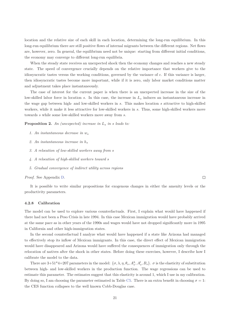location and the relative size of each skill in each location, determining the long-run equilibrium. In this long-run equilibrium there are still positive flows of internal migrants between the different regions. Net flows are, however, zero. In general, the equilibrium need not be unique: starting from different initial conditions, the economy may converge to different long-run equilibria.

When the steady state receives an unexpected shock then the economy changes and reaches a new steady state. The speed of convergence crucially depends on the relative importance that workers give to the idiosyncratic tastes versus the working conditions, governed by the variance of  $\epsilon$ . If this variance is larger, then idiosyncratic tastes become more important, while if it is zero, only labor market conditions matter and adjustment takes place instantaneously.

The case of interest for the current paper is when there is an unexpected increase in the size of the low-skilled labor force in location *s*. In this case, the increase in *L<sup>s</sup>* induces an instantaneous increase in the wage gap between high- and low-skilled workers in *s*. This makes location *s* attractive to high-skilled workers, while it make it less attractive for low-skilled workers in *s*. Thus, some high-skilled workers move towards *s* while some low-skilled workers move away from *s*.

**Proposition 2.** *An (unexpected) increase in L<sup>s</sup> in s leads to:*

- *1. An instantaneous decrease in w<sup>s</sup>*
- *2. An instantaneous increase in h<sup>s</sup>*
- *3. A relocation of low-skilled workers away from s*
- *4. A relocation of high-skilled workers toward s*
- *5. Gradual convergence of indirect utility across regions*

#### *Proof.* See Appendix D.

It is possible to write similar propositions for exogenous changes in either the amenity levels or the productivity parameters.

#### **4.2.8 Calibration**

The model can be used to explore various counterfactuals. First, I explain what would have happened if there had not been a Peso Crisis in late 1994. In this case Mexican immigration would have probably arrived at the same pace as in other years of the 1990s and wages would have not dropped significantly more in 1995 in California and other high-immigration states.

In the second counterfactual I analyze what would have happened if a state like Arizona had managed to effectively stop its inflow of Mexican immigrants. In this case, the direct effect of Mexican immigration would have disappeared and Arizona would have suffered the consequences of immigration only through the relocation of natives after the shock in other states. Before doing these exercises, however, I describe how I calibrate the model to the data.

There are  $3+51*4=207$  parameters in the model:  $\{\sigma, \lambda, \eta, \theta_s, A_s^h, A_s^l, B_s\}$ .  $\sigma$  is the elasticity of substitution between high- and low-skilled workers in the production function. The wage regressions can be used to estimate this parameter. The estimates suggest that this elasticity is around 1, which I use in my calibration. By doing so, I am choosing the parameter estimated in Table C5. There is an extra benefit in choosing  $\sigma = 1$ : the CES function collapses to the well known Cobb-Douglas case.

#### $\Box$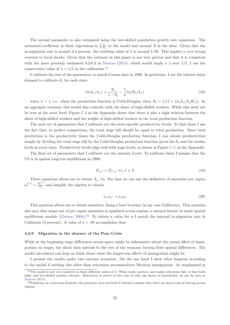The second parameter is also estimated using the low-skilled population growth rate equations. The estimated coefficient in these regressions is  $\frac{1}{\lambda} \frac{I_s}{N_s}$  in the model and around *.*9 in the data. Given that the in-migration rate is around 3-4 percent, the resulting value of  $\lambda$  is around 1/30. This implies a very strong reaction to local shocks. Given that the estimate in this paper is not very precise and that it is consistent with the more precisely estimated 0.2-0.3 in Monras (2015), which would imply a  $\lambda$  over 1/5, I use the conservative value of  $\lambda = 1/5$  in the calibration.<sup>31</sup>

I calibrate the rest of the parameters to match Census data in 1990. In particular, I use the relative labor demand to calibrate  $\theta_s$  for each state:

$$
ln(h_s/w_s) = \frac{\theta_s}{1 - \theta_s} - \frac{1}{\sigma} ln(H_s/L_s)
$$
\n(18)

when  $\sigma = 1$ , i.e. when the production function is Cobb-Douglas, then,  $\theta_s = 1/(1 + (w_s L_s / h_s H_s))$ . In an aggregate economy this would also coincide with the share of high-skilled workers. While this need not be true at the state level, Figure C.4 in the Appendix shows that there is also a tight relation between the share of high-skilled workers and the weight of high-skilled workers in the local production function.

The next set of parameters that I calibrate are the state-specific productivity levels. To find those I use the fact that, in perfect competition, the total wage bill should be equal to total production. Since total production is the productivity times the Cobb-Douglas production function, I can obtain productivities simply by dividing the total wage bill by the Cobb-Douglas production function given the  $\theta_s$  and the worker levels in every state. Productivity levels align well with wage levels, as shown in Figure C.5, in the Appendix.

The final set of parameters that I calibrate are the amenity levels. To calibrate these I assume that the US is in spatial long-run equilibrium in 1990:

$$
P_{s,s'} = P_{s',s}, \forall s, s' \in S \tag{19}
$$

These equations allows me to obtain  $A_s$ ,  $\forall s$ . For that we can use the definition of amenities per capita  $a_s^{1/\lambda} = \frac{A_{s}^{1/\lambda}}{N_s}$  and simplify the algebra to obtain:

$$
a_{s'}\omega_{s'} = a_s\omega_s \tag{20}
$$

This equation allows me to obtain amenities, fixing a base location (in my case California). This equation also says that wages net of per capita amenities is equalized across regions, a natural feature in static spatial equilibrium models (Glaeser, 2008).<sup>32</sup> To obtain a value for  $\eta$  I match the internal in-migration rate in California (3 percent). A value of  $\eta = .88$  accomplishes that.

#### **4.2.9 Migration in the absence of the Peso Crisis**

While at the beginning wage differences across space might be informative about the causal effect of immigration on wages, the shock then spreads to the rest of the economy leaving little spatial differences. The model introduced can help us think about what the longer-run effects of immigration might be.

I present the results under two extreme scenarios. On the one hand I show what happens according to the model if nothing else other than relocation accommodates Mexican immigration. As emphasized in

<sup>31</sup>The model is not very sensitive to these different values of *λ*. What really matters, and makes relocation fast, is that both high- and low-skilled workers relocate. Relocation is slower in the case of only one factor of production, as can be seen in Monras (2015).

 $32$ Following on a previous footnote, this property does not hold if instead I assume that there are fixed costs of moving across regions.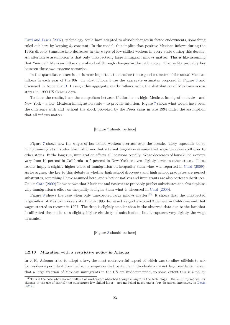Card and Lewis (2007), technology could have adapted to absorb changes in factor endowments, something ruled out here by keeping  $\theta_s$  constant. In the model, this implies that positive Mexican inflows during the 1990s directly translate into decreases in the wages of low-skilled workers in every state during this decade. An alternative assumption is that only unexpectedly large immigrant inflows matter. This is like assuming that "normal" Mexican inflows are absorbed through changes in the technology. The reality probably lies between these two extreme scenarios.

In this quantitative exercise, it is more important than before to use good estimates of the actual Mexican inflows in each year of the 90s. In what follows I use the aggregate estimates proposed in Figure 3 and discussed in Appendix B. I assign this aggregate yearly inflows using the distribution of Mexicans across states in 1990 US Census data.

To show the results, I use the comparison between California – a high- Mexican immigration state – and New York – a low- Mexican immigration state – to provide intuition. Figure 7 shows what would have been the difference with and without the shock provoked by the Pesos crisis in late 1994 under the assumption that all inflows matter.

#### [Figure 7 should be here]

Figure 7 shows how the wages of low-skilled workers decrease over the decade. They especially do so in high-immigration states like California, but internal migration ensures that wage decrease spill over to other states. In the long run, immigration affects all locations equally. Wage decreases of low-skilled workers vary from 10 percent in California to 5 percent in New York or even slightly lower in other states. These results imply a slightly higher effect of immigration on inequality than what was reported in Card (2009). As he argues, the key to this debate is whether high school drop-outs and high school graduates are perfect substitutes, something I have assumed here, and whether natives and immigrants are also perfect substitutes. Unlike Card (2009) I have shown that Mexicans and natives are probably perfect substitutes and this explains why immigration's effect on inequality is higher than what is discussed in Card (2009).

Figure 8 shows the case when only unexpected large inflows matter.<sup>33</sup> It shows that the unexpected large inflow of Mexican workers starting in 1995 decreased wages by around 3 percent in California and that wages started to recover in 1997. The drop is slightly smaller than in the observed data due to the fact that I calibrated the model to a slightly higher elasticity of substitution, but it captures very tightly the wage dynamics.

[Figure 8 should be here]

#### **4.2.10 Migration with a restrictive policy in Arizona**

In 2010, Arizona tried to adopt a law, the most controversial aspect of which was to allow officials to ask for residence permits if they had some suspicion that particular individuals were not legal residents. Given that a large fraction of Mexican immigrants in the US are undocumented, to some extent this is a policy

<sup>&</sup>lt;sup>33</sup>This is the case when normal inflows of workers are absorbed though changes in the technology – the  $\theta_s$  in my model – or changes in the use of capital that substitutes low-skilled labor – not modelled in my paper, but discussed extensively in Lewis (2012).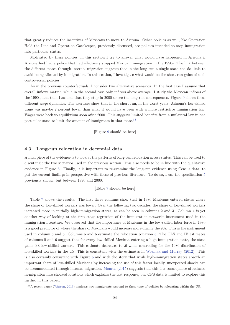that greatly reduces the incentives of Mexicans to move to Arizona. Other policies as well, like Operation Hold the Line and Operation Gatekeeper, previously discussed, are policies intended to stop immigration into particular states.

Motivated by these policies, in this section I try to answer what would have happened in Arizona if Arizona had had a policy that had effectively stopped Mexican immigration in the 1990s. The link between the different states through internal migration suggests that in the long run a single state can do little to avoid being affected by immigration. In this section, I investigate what would be the short-run gains of such controversial policies.

As in the previous counterfactuals, I consider two alternative scenarios. In the first case I assume that overall inflows matter, while in the second case only inflows above average. I study the Mexican inflows of the 1990s, and then I assume that they stop in 2000 to see the long-run consequences. Figure 9 shows these different wage dynamics. The exercises show that in the short run, in the worst years, Arizona's low-skilled wage was maybe 2 percent lower than what it would have been with a more restrictive immigration law. Wages were back to equilibrium soon after 2000. This suggests limited benefits from a unilateral law in one particular state to limit the amount of immigrants in that state.<sup>34</sup>

[Figure 9 should be here]

#### **4.3 Long-run relocation in decennial data**

A final piece of the evidence is to look at the patterns of long-run relocation across states. This can be used to disentangle the two scenarios used in the previous section. This also needs to be in line with the qualitative evidence in Figure 5. Finally, it is important to re-examine the long-run evidence using Census data, to put the current findings in perspective with those of previous literature. To do so, I use the specification 5 previously shown, but between 1990 and 2000.

#### [Table 7 should be here]

Table 7 shows the results. The first three columns show that in 1980 Mexicans entered states where the share of low-skilled workers was lower. Over the following two decades, the share of low-skilled workers increased more in initially high-immigration states, as can be seen in columns 2 and 3. Column 4 is yet another way of looking at the first stage regression of the immigration networks instrument used in the immigration literature. We observed that the importance of Mexicans in the low-skilled labor force in 1980 is a good predictor of where the share of Mexicans would increase more during the 90s. This is the instrument used in column 6 and 8. Columns 5 and 6 estimate the relocation equation 5. The OLS and IV estimates of columns 5 and 6 suggest that for every low-skilled Mexican entering a high-immigration state, the state gains 0.8 low-skilled workers. This estimate decreases to .6 when controlling for the 1980 distribution of low-skilled workers in the US. This is consistent with the estimates in Wozniak and Murray (2012). This is also certainly consistent with Figure 5 and with the story that while high-immigration states absorb an important share of low-skilled Mexicans by increasing the use of this factor locally, unexpected shocks can be accommodated through internal migration. Monras (2015) suggests that this is a consequence of reduced in-migration into shocked locations which explains the fast response, but CPS data is limited to explore this further in this paper.

<sup>34</sup>A recent paper (Watson, 2013) analyses how immigrants respond to these type of policies by relocating within the US.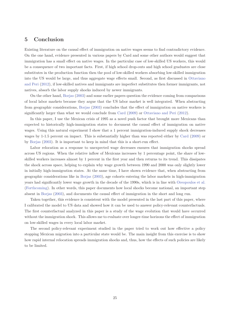# **5 Conclusion**

Existing literature on the causal effect of immigration on native wages seems to find contradictory evidence. On the one hand, evidence presented in various papers by Card and some other authors would suggest that immigration has a small effect on native wages. In the particular case of low-skilled US workers, this would be a consequence of two important facts. First, if high school drop-outs and high school graduates are close substitutes in the production function then the pool of low-skilled workers absorbing low-skilled immigration into the US would be large, and thus aggregate wage effects small. Second, as first discussed in Ottaviano and Peri (2012), if low-skilled natives and immigrants are imperfect substitutes then former immigrants, not natives, absorb the labor supply shocks induced by newer immigrants.

On the other hand, Borjas (2003) and some earlier papers question the evidence coming from comparisons of local labor markets because they argue that the US labor market is well integrated. When abstracting from geographic considerations, Borjas (2003) concludes that the effect of immigration on native workers is significantly larger than what we would conclude from Card (2009) or Ottaviano and Peri (2012).

In this paper, I use the Mexican crisis of 1995 as a novel push factor that brought more Mexicans than expected to historically high-immigration states to document the causal effect of immigration on native wages. Using this natural experiment I show that a 1 percent immigration-induced supply shock decreases wages by 1-1.5 percent on impact. This is substantially higher than was reported either by Card (2009) or by Borjas (2003). It is important to keep in mind that this is a short-run effect.

Labor relocation as a response to unexpected wage decreases ensures that immigration shocks spread across US regions. When the relative inflow of Mexicans increases by 1 percentage point, the share of lowskilled workers increases almost by 1 percent in the first year and then returns to its trend. This dissipates the shock across space, helping to explain why wage growth between 1990 and 2000 was only slightly lower in initially high-immigration states. At the same time, I have shown evidence that, when abstracting from geographic considerations like in Borjas (2003), age cohorts entering the labor markets in high-immigration years had significantly lower wage growth in the decade of the 1990s, which is in line with Oreopoulos et al. (Forthcoming). In other words, this paper documents how local shocks become national, an important step absent in Borjas (2003), and documents the causal effect of immigration in the short and long run.

Taken together, this evidence is consistent with the model presented in the last part of this paper, where I calibrated the model to US data and showed how it can be used to answer policy-relevant counterfactuals. The first counterfactual analyzed in this paper is a study of the wage evolution that would have occurred without the immigration shock. This allows me to evaluate over longer-time horizons the effect of immigration on low-skilled wages in every local labor market.

The second policy-relevant experiment studied in the paper tried to work out how effective a policy stopping Mexican migration into a particular state would be. The main insight from this exercise is to show how rapid internal relocation spreads immigration shocks and, thus, how the effects of such policies are likely to be limited.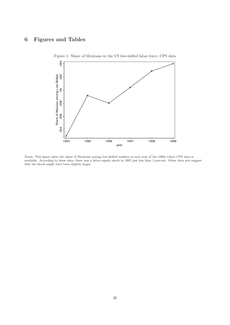# **6 Figures and Tables**



Figure 1: Share of Mexicans in the US low-skilled labor force, CPS data

Notes: This figure plots the share of Mexicans among low-skilled workers in each year of the 1990s where CPS data is available. According to these data, there was a labor supply shock in 1995 just less than 1 percent. Other data sets suggest that the shock might have been slightly larger.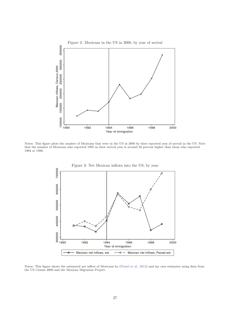

Notes: This figure plots the number of Mexicans that were in the US in 2000 by their reported year of arrival in the US. Note that the number of Mexicans who reported 1995 as their arrival year is around 50 percent higher than those who reported 1994 or 1996.



Notes: This figure shows the estimated net inflow of Mexicans by (Passel et al., 2012) and my own estimates using data from the US Census 2000 and the Mexican Migration Project.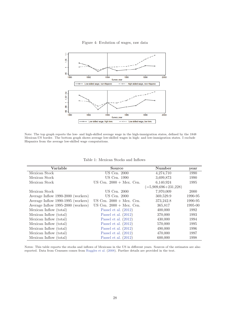

Figure 4: Evolution of wages, raw data

Note: The top graph reports the low- and high-skilled average wage in the high-immigration states, defined by the 1848 Mexican-US border. The bottom graph shows average low-skilled wages in high- and low-immigration states. I exclude Hispanics from the average low-skilled wage computations.

| Variable                           | Source                            | Number                    | year    |
|------------------------------------|-----------------------------------|---------------------------|---------|
| Mexican Stock                      | US Cen. 2000                      | 4,274,710                 | 1990    |
| Mexican Stock                      | US Cen. 1990                      | 3,699,873                 | 1990    |
| Mexican Stock                      | US Cen. $2000 + \text{Mex. Cen.}$ | 6,140,924                 | 1995    |
|                                    |                                   | $( =5,909,696 + 231,228)$ |         |
| Mexican Stock                      | US Cen. 2000                      | 7,970,009                 | 2000    |
| Average Inflow 1990-2000 (workers) | US Cen. 2000                      | 369,529.9                 | 1990-95 |
| Average Inflow 1990-1995 (workers) | US Cen. $2000 + \text{Mex. Cen.}$ | 373,242.8                 | 1990-95 |
| Average Inflow 1995-2000 (workers) | US Cen. $2000 + \text{Mex. Cen.}$ | 365,817                   | 1995-00 |
| Mexican Inflow (total)             | Passel et al. $(2012)$            | 400,000                   | 1992    |
| Mexican Inflow (total)             | Passel et al. $(2012)$            | 370,000                   | 1993    |
| Mexican Inflow (total)             | Passel et al. $(2012)$            | 430,000                   | 1994    |
| Mexican Inflow (total)             | Passel et al. $(2012)$            | 570,000                   | 1995    |
| Mexican Inflow (total)             | Passel et al. $(2012)$            | 490,000                   | 1996    |
| Mexican Inflow (total)             | Passel et al. $(2012)$            | 470,000                   | 1997    |
| Mexican Inflow (total)             | Passel et al. $(2012)$            | 600,000                   | 1998    |

Table 1: Mexican Stocks and Inflows

Notes: This table reports the stocks and inflows of Mexicans in the US in different years. Sources of the estimates are also reported. Data from Censuses comes from Ruggles et al. (2008). Further details are provided in the text.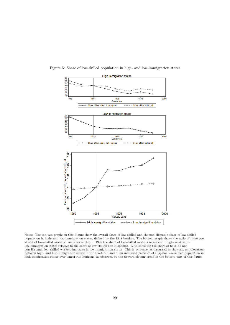

Figure 5: Share of low-skilled population in high- and low-immigration states

Notes: The top two graphs in this Figure show the overall share of low-skilled and the non-Hispanic share of low-skilled population in high- and low-immigration states, defined by the 1848 borders. The bottom graph shows the ratio of these two shares of low-skilled workers. We observe that in 1995 the share of low-skilled workers increases in high- relative to low-immigration states relative to the share of low-skilled non-Hispanics. With some lag the share of both all and non-Hispanic low-skilled workers increases in low-immigration states. This is evidence, as discussed in the text, on relocation between high- and low-immigration states in the short-run and of an increased presence of Hispanic low-skilled population in high-immigration states over longer run horizons, as observed by the upward sloping trend in the bottom part of this figure.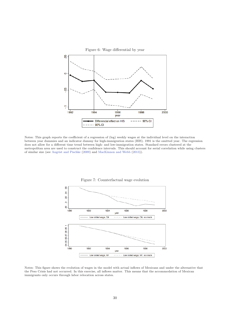

Notes: This graph reports the coefficient of a regression of (log) weekly wages at the individual level on the interaction between year dummies and an indicator dummy for high-immigration states (HIS). 1991 is the omitted year. The regression does not allow for a different time trend between high- and low-immigration states. Standard errors clustered at the metropolitan area are used to construct the confidence intervals. This should account for serial correlation while using clusters of similar size (see Angrist and Pischke (2009) and MacKinnon and Webb (2013)).





Notes: This figure shows the evolution of wages in the model with actual inflows of Mexicans and under the alternative that the Peso Crisis had not occurred. In this exercise, all inflows matter. This means that the accommodation of Mexican immigrants only occurs through labor relocation across states.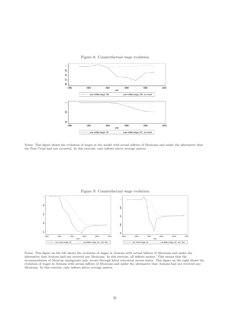

Notes: This figure shows the evolution of wages in the model with actual inflows of Mexicans and under the alternative that the Peso Crisis had not occurred. In this exercise, only inflows above average matter.



Notes: This figure on the left shows the evolution of wages in Arizona with actual inflows of Mexicans and under the alternative that Arizona had not received any Mexicans. In this exercise, all inflows matter. This means that the accommodation of Mexican immigrants only occurs through labor relocation across states. This figure on the right shows the evolution of wages in Arizona with actual inflows of Mexicans and under the alternative that Arizona had not received any Mexicans. In this exercise, only inflows above average matter.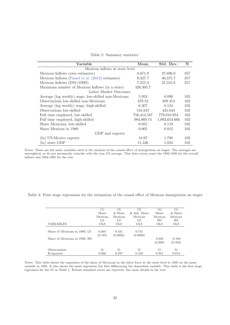Table 2: Summary statistics

| Variable                                            | Mean        | Std. Dev.     | N   |
|-----------------------------------------------------|-------------|---------------|-----|
| Mexican inflows at state level                      |             |               |     |
| Mexican Inflows (own estimates)                     | 8,671.9     | 37,896.0      | 357 |
| Mexican Inflows (Passel et al. (2012) estimates)    | 9,327.7     | 40,375.7      | 357 |
| Mexican Inflows (INS+DHS)                           | 7,215.3     | 31,555.8      | 357 |
| Maximum number of Mexican Inflows (in a state)      | 326,305.7   |               |     |
| Labor Market Outcomes                               |             |               |     |
| Average (log weekly) wage, low-skilled non-Mexicans | 5.953       | 0.099         | 102 |
| Observations low-skilled non-Mexicans               | 378.52      | 289.313       | 102 |
| Average (log weekly) wage, high-skilled             | 6.307       | 0.124         | 102 |
| Observations low-skilled                            | 516.647     | 425.843       | 102 |
| Full time employed, low-skilled                     | 756,413.587 | 779,010.954   | 102 |
| Full time employed, high-skilled                    | 984,069.74  | 1,093,654.666 | 102 |
| Share Mexicans, low-skilled                         | 0.055       | 0.119         | 102 |
| Share Mexican in 1980                               | 0.005       | 0.012         | 102 |
| GDP and exports                                     |             |               |     |
| (ln) US-Mexico exports                              | 18.97       | 1.798         | 102 |
| state GDP<br>$(\ln)$                                | 11.336      | 1.024         | 102 |

Notes: These are the main variables used in the analysis of the causal effect of immigration on wages. The averages are unweighted, so do not necessarily coincide with the true US average. This data covers years the 1992-1998 for the overall inflows and 1994-1995 for the rest.

Table 3: First stage regressions for the estimation of the causal effect of Mexican immigration on wages

|                               | $\left(1\right)$ | (2)            | (3)                 | (4)        | (5)            |
|-------------------------------|------------------|----------------|---------------------|------------|----------------|
|                               | Share            | $\Delta$ Share | $\Delta$ Adj. Share | Share      | $\Delta$ Share |
|                               | Mexican          | Mexican        | Mexican             | Mexican    | Mexican        |
|                               | LS               | LS             | LS                  | ΗS         | HS             |
| <b>VARIABLES</b>              | <b>OLS</b>       | <b>OLS</b>     | <b>OLS</b>          | <b>OLS</b> | <b>OLS</b>     |
|                               |                  |                |                     |            |                |
| Share of Mexicans in 1980, LS | 6.005            | 0.431          | 0.731               |            |                |
|                               | (0.185)          | (0.0882)       | (0.0886)            |            |                |
| Share of Mexicans in 1980, HS |                  |                |                     | 4.829      | $-0.189$       |
|                               |                  |                |                     | (0.208)    | (0.324)        |
| Observations                  | 51               | 51             | 51                  | 51         | 51             |
| R-squared                     | 0.968            | 0.227          | 0.439               | 0.941      | 0.014          |

Notes: This table shows the regression of the share of Mexicans in the labor force at the state level in 1995 on the same variable in 1995. It also shows the same regression but first differencing the dependent variable. This table is the first stage regression for the IV in Table 4. Robust standard errors are reported. See more details in the text.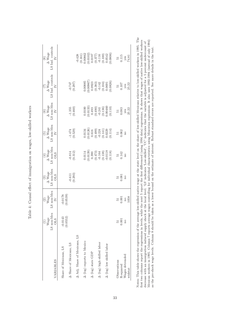| VARIABLES                                        | LS non-Mex<br>Wage<br><b>OLS</b> | $\operatorname{LS}$ non-Mex<br>$\frac{(2)}{Wage}$<br>$\geq$ | $\begin{array}{c} (3) \\ \Delta\text{ Wage} \\ \text{LS non-Mex} \end{array}$<br><b>OLS</b> | $\rm{LS}$ non-Mex OLS<br>$\Delta$ Wage                                                                       | $\operatorname{LS}$ non-Mex<br>(5)<br>$\Delta$ Wage<br>$\geq$                                               | $\ensuremath{\mathsf{LS}}$ non-Mex $\ensuremath{\mathsf{IV}}$<br>$(6)$<br>$\Delta$ Wage                                            | LS Ind. controls<br>$\begin{array}{c} (7)\\ \Delta\text{ Wage}\\ \end{array}$<br>$\geq$                          | LS Ind. controls<br>$\Delta$ Wage<br>$\geq$                                                                                                                                     |
|--------------------------------------------------|----------------------------------|-------------------------------------------------------------|---------------------------------------------------------------------------------------------|--------------------------------------------------------------------------------------------------------------|-------------------------------------------------------------------------------------------------------------|------------------------------------------------------------------------------------------------------------------------------------|------------------------------------------------------------------------------------------------------------------|---------------------------------------------------------------------------------------------------------------------------------------------------------------------------------|
| A Share of Mexicans, LS<br>Share of Mexicans, LS | (0.0552)<br>$-0.0143$            | (0.0178)                                                    | $-0.611$<br>$(0.293)$                                                                       | $-0.814$<br>$(0.312)$                                                                                        | $-1.474$<br>$(0.529)$                                                                                       | $-1.355$<br>$(0.460)$                                                                                                              | (0.297)                                                                                                          |                                                                                                                                                                                 |
| Adj. Share of Mexicans, LS                       |                                  |                                                             |                                                                                             |                                                                                                              |                                                                                                             |                                                                                                                                    |                                                                                                                  |                                                                                                                                                                                 |
| $\Delta$ (log) exports to Mexico                 |                                  |                                                             |                                                                                             |                                                                                                              |                                                                                                             |                                                                                                                                    |                                                                                                                  |                                                                                                                                                                                 |
| $\Delta$ (log) state GDP                         |                                  |                                                             |                                                                                             |                                                                                                              |                                                                                                             |                                                                                                                                    |                                                                                                                  |                                                                                                                                                                                 |
|                                                  |                                  |                                                             |                                                                                             |                                                                                                              |                                                                                                             |                                                                                                                                    |                                                                                                                  |                                                                                                                                                                                 |
| $\Delta$ (log) high skilled labor                |                                  |                                                             |                                                                                             |                                                                                                              |                                                                                                             |                                                                                                                                    |                                                                                                                  |                                                                                                                                                                                 |
| $\Delta$ (log) low skilled labor                 |                                  |                                                             |                                                                                             | $\begin{array}{c} 0.0114 \\ 0.0139) \\ 0.390 \\ 0.473) \\ -0.164 \\ 0.138) \\ 0.0138) \\ 0.0138 \end{array}$ | $\begin{array}{l} 0.0134 \\ 0.0126) \\ 0.616 \\ 0.499) \\ -0.224 \\ 0.141) \\ 0.0229 \\ 0.0229 \end{array}$ | $\begin{array}{c} (0.0100 \\ (0.0133) \\ (0.493 \\ (0.490) \\ (0.136) \\ (0.136) \\ (0.136) \\ (0.0460 \\ (0.00460 \\ \end{array}$ | $\begin{array}{l} 0.00885 \\ 0.00967) \\ 0.0923 \\ (0.383) \\ -0.142 \\ (0.104) \\ 0.0691 \\ 0.0691 \end{array}$ | $\begin{array}{c} -0.428 \\ (0.161) \\ 0.00862 \\ (0.0102) \\ 0.0197 \\ (0.377) \\ (0.377) \\ (0.116) \\ (0.010) \\ (0.010) \\ (0.0542) \\ (0.0542) \\ (0.0542) \\ \end{array}$ |
| Observations                                     | 51                               |                                                             | 12                                                                                          | $\frac{51}{0.142}$                                                                                           | $\frac{51}{0.062}$                                                                                          | $\overline{5}$                                                                                                                     |                                                                                                                  | $\frac{51}{115}$                                                                                                                                                                |
| R-squared                                        | 0.001                            | 0.001                                                       | 0.081                                                                                       |                                                                                                              |                                                                                                             | 0.083                                                                                                                              | $\frac{51}{0.107}$                                                                                               |                                                                                                                                                                                 |
| Wages detrended<br>widstat                       | no                               | 1058<br>$_{\rm no}$                                         | $\overline{\Omega}$                                                                         | $\overline{\rm n}$                                                                                           | $\overline{\rm m}$                                                                                          | $yes$<br>$25.22$                                                                                                                   | $yes$<br>$25.22$                                                                                                 | $\frac{y}{4.81}$                                                                                                                                                                |

Table 4: Causal effect of immigration on wages, low-skilled workers Table 4: Causal effect of immigration on wages, low-skilled workers Notes: This table shows the regression of the average low-skilled native wage at the state level on the share of low-skilled Mexicans relative to low-skilled workers in 1995. The first two columns report the regressions in Notes: This table shows the regression of the average low-skilled native wage at the state level on the share of low-skilled Mexicans relative to low-skilled workers in 1995. The first two columns report the regressions in levels, while the next 5 report the first differenced (using 1994 data) regressions. It shows that wages of native low-skilled workers Mexican workers in 1995. Column 7 reports average wages controlling for individual characteristics using Mincerian regressions. It also uses 1992-1994 (instead of only 1994) decrease with an immigration induced supply shock at the local level. 'LS' indicates 'Low-skilled', 'UC' indicates that the variable is adjusted for a 5 percent undercount of as the pre-shock wage levels. Column 8 should be taken as a lower bound on the estimate of interest. Robust standard errors are reported. See more details in the text.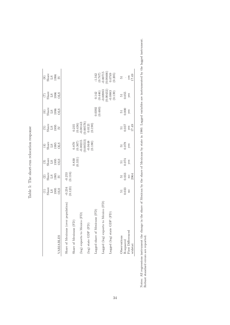| $\begin{array}{c} \text{\textcolor{red}{(4)}} \\ \text{\textcolor{red}{\geq}} \\ \text{\textcolor{red}{\Omega 13}} \\ \text{\textcolor{red}{(195)}} \\ \text{\textcolor{red}{\Omega 25}} \end{array}$<br>$\frac{3}{2}$<br>Share<br>$\frac{195}{2}$<br>OLS<br>$\begin{array}{c} (2)\\ \text{Share}\\ \text{LS}\\ 1995 \end{array}$ | $\begin{array}{c} \text{(5)}\\ \text{Share}\\ \text{L3} \\ \text{1995}\\ \text{D} \end{array}$         | $\frac{6}{5}$<br>Share<br>$\frac{13}{5}$<br>OHS                      | $\begin{array}{c} \text{(7)}\\ \text{Share} \\ \text{L996}\\ \text{D95}\\ \end{array}$ | $\begin{array}{c} (8) \\ \text{Share} \\ \text{L3} \\ 1996 \\ \text{IV} \end{array}$                   |
|-----------------------------------------------------------------------------------------------------------------------------------------------------------------------------------------------------------------------------------------------------------------------------------------------------------------------------------|--------------------------------------------------------------------------------------------------------|----------------------------------------------------------------------|----------------------------------------------------------------------------------------|--------------------------------------------------------------------------------------------------------|
|                                                                                                                                                                                                                                                                                                                                   |                                                                                                        |                                                                      |                                                                                        |                                                                                                        |
|                                                                                                                                                                                                                                                                                                                                   |                                                                                                        |                                                                      |                                                                                        |                                                                                                        |
| $-0.253$<br>$(0.116)$                                                                                                                                                                                                                                                                                                             |                                                                                                        |                                                                      |                                                                                        |                                                                                                        |
| $\binom{0.830}{0.331}$                                                                                                                                                                                                                                                                                                            |                                                                                                        |                                                                      |                                                                                        |                                                                                                        |
|                                                                                                                                                                                                                                                                                                                                   |                                                                                                        |                                                                      |                                                                                        |                                                                                                        |
| $\begin{array}{c} 0.870 \\ (0.367) \\ -0.00215 \\ (0.00553) \\ -0.0448 \\ \end{array}$                                                                                                                                                                                                                                            | $\begin{array}{c} 0.235 \\ (0.436) \\ -0.00143 \\ 0.00576) \\ 0.0121 \\ 0.0121 \\ (0.190) \end{array}$ |                                                                      |                                                                                        |                                                                                                        |
|                                                                                                                                                                                                                                                                                                                                   |                                                                                                        | (0.0392)                                                             |                                                                                        |                                                                                                        |
|                                                                                                                                                                                                                                                                                                                                   |                                                                                                        |                                                                      |                                                                                        |                                                                                                        |
|                                                                                                                                                                                                                                                                                                                                   |                                                                                                        |                                                                      | $\begin{array}{c} 0.142 \\ (0.446) \\ -0.00983 \\ (0.00432) \\ -0.0883 \\ \end{array}$ | $\begin{array}{l} -1.342 \\ (0.747) \\ 0.00715 \\ 0.00466) \\ 0.0749 \\ 0.0749 \\ (0.205) \end{array}$ |
|                                                                                                                                                                                                                                                                                                                                   |                                                                                                        |                                                                      |                                                                                        | $\overline{51}$                                                                                        |
| 0.078<br>0.074<br>0.033                                                                                                                                                                                                                                                                                                           |                                                                                                        | 0.000                                                                | 0.055                                                                                  |                                                                                                        |
| yes<br>yes                                                                                                                                                                                                                                                                                                                        |                                                                                                        | yes                                                                  | yes                                                                                    | $\frac{y \text{es}}{17.49}$                                                                            |
| 51                                                                                                                                                                                                                                                                                                                                | 51                                                                                                     | $\begin{array}{c} 51 \\ 0.037 \end{array}$<br>$\frac{y \cos}{17.49}$ | 51                                                                                     | 51                                                                                                     |

Table 5: The short-run relocation response

Table 5: The short-run relocation response

34

Notes: All regressions instrument the change in the share of Mexican by the share of Mexicans by state in 1980. Lagged variables are instrumented by the lagged instrument.

Notes: All regressions instrument the change in the share of Mexican by the share of Mexicans by state in 1980. Lagged variables are instrumented by the lagged instrument.<br>Robust standard errors are reported.

Robust standard errors are reported.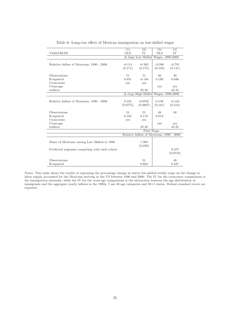|                                               | (1)                  | (2)                                      | (3)        | (4)       |
|-----------------------------------------------|----------------------|------------------------------------------|------------|-----------|
| <b>VARIABLES</b>                              | <b>OLS</b>           | <b>IV</b>                                | <b>OLS</b> | <b>IV</b> |
|                                               | $\Delta$ (log)       | Low Skilled Wages, 1990-2000             |            |           |
|                                               |                      |                                          |            |           |
| Relative Inflow of Mexicans, 1990 - 2000      | $-0.114$             | $-0.383$                                 | $-0.396$   | $-0.735$  |
|                                               | (0.171)              | (0.175)                                  | (0.103)    | (0.141)   |
|                                               |                      |                                          |            |           |
| Observations                                  | 51                   | 51                                       | 48         | 48        |
| R-squared                                     | 0.031                | $-0.146$                                 | 0.180      | 0.048     |
| Cross-state                                   | yes                  | <b>ves</b>                               |            |           |
| Cross-age                                     |                      |                                          | yes        | yes       |
| widstat                                       |                      | 35.38                                    |            | 43.35     |
|                                               | $\Delta$<br>$(\log)$ | High Skilled Wages, 1990-2000            |            |           |
|                                               |                      |                                          |            |           |
| Relative Inflow of Mexicans, 1990 - 2000      | 0.185                | 0.0762                                   | 0.139      | $-0.142$  |
|                                               | (0.0775)             | (0.0807)                                 | (0.161)    | (0.212)   |
|                                               |                      |                                          |            |           |
| Observations                                  | 51                   | 51                                       | 48         | 48        |
| R-squared                                     | 0.182                | 0.119                                    | 0.012      | $\cdot$   |
| Cross-state                                   | yes                  | yes                                      |            |           |
| Cross-age                                     |                      |                                          | yes        | yes       |
| widstat                                       |                      | 35.38                                    |            | 43.35     |
|                                               |                      | First Stage                              |            |           |
|                                               |                      | Relative Inflow of Mexicans, 1990 - 2000 |            |           |
|                                               |                      |                                          |            |           |
|                                               |                      |                                          |            |           |
| Share of Mexicans among Low Skilled in 1980   |                      | 1.369                                    |            |           |
|                                               |                      | (0.230)                                  |            |           |
| Predicted migrants competing with each cohort |                      |                                          |            | 0.473     |
|                                               |                      |                                          |            | (0.0718)  |
|                                               |                      |                                          |            |           |
| Observations                                  |                      | 51                                       |            | 48        |
| R-squared                                     |                      | 0.684                                    |            | 0.427     |

Table 6: Long-run effect of Mexican immigration on low-skilled wages

Notes: This table shows the results of regressing the percentage change in native low-skilled weekly wage on the change in labor supply accounted for the Mexicans arriving in the US between 1990 and 2000. The IV for the cross-state comparisons is the immigration networks, while the IV for the cross-age comparisons is the interaction between the age distribution of immigrants and the aggregate yearly inflows in the 1990s. I use 48 age categories and 50+1 states. Robust standard errors are reported.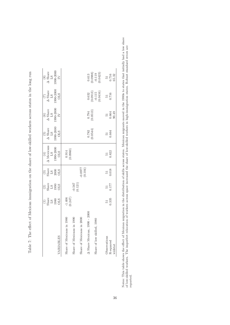| VARIABLES                                                                                                                                         | $\frac{1}{2}$<br>Share<br>$\frac{1380}{202}$ | $\frac{2}{3}$<br>$\frac{13}{3}$<br>$\frac{3}{3}$<br>$\frac{3}{3}$ | $\frac{1}{3}$<br>$\frac{1}{3}$<br>$\frac{1}{3}$<br>$\frac{1}{3}$<br>$\frac{1}{3}$<br>$\frac{1}{3}$ | $\begin{array}{l} (4)\\ \Delta\text{ Mexians}\\ \text{LS}\\ 1990\text{-}2000\\ 01.5 \end{array}$ | $\begin{array}{c} (5)\\ \Delta~{\rm share}\\ {\rm L}{\rm S}\\ 1990\text{-}2000\\ \text{OLS} \end{array}$ | $\begin{array}{c} \text{(6)}\\ \Delta~\text{Share}\\ \text{LS}\\ 1990\text{-}2000\\ \text{IV} \end{array}$ | $\begin{array}{c} (7)\\ \Delta\ \rm{Share}\\ \rm{LS}\\ 1990\text{-}2000\\ \rm{OLS}\\ \rm{OLS} \end{array}$ | $\begin{array}{c} (8) \\ \Delta ~\text{Share} \\ \text{LS} \\ 1990\text{-}2000 \\ \text{IV} \end{array}$ |
|---------------------------------------------------------------------------------------------------------------------------------------------------|----------------------------------------------|-------------------------------------------------------------------|----------------------------------------------------------------------------------------------------|--------------------------------------------------------------------------------------------------|----------------------------------------------------------------------------------------------------------|------------------------------------------------------------------------------------------------------------|------------------------------------------------------------------------------------------------------------|----------------------------------------------------------------------------------------------------------|
| A Share Mexican, 1990 - 2000<br>Share of Mexicans in 1980<br>Share of Mexicans in 1990<br>Share of Mexicans in 2000<br>Share of low skilled, 1980 | $-1.406$<br>$(0.247)$                        | $-0.567$<br>$(0.121)$                                             | (101.0)                                                                                            | (0.914)                                                                                          | $\frac{0.782}{0.0544}$                                                                                   | $(0.794$<br>(0.0513)                                                                                       | $\begin{array}{c} 0.632 \\ (0.0913) \\ -0.115 \\ (0.0416) \end{array}$                                     | $\begin{array}{c} 0.613 \\ 0.0988) \\ -0.119 \\ 0.0423 \end{array}$                                      |
| Observations<br>R-squared<br>widstat                                                                                                              | 0.335<br>51                                  | $\frac{51}{177}$                                                  | 0.018                                                                                              | 0.822                                                                                            | $\frac{51}{0.664}$                                                                                       | $\frac{51}{0.664}$<br>90.49                                                                                | 0.716<br>$\overline{5}$                                                                                    | $\frac{51}{0.716}$<br>65.32                                                                              |

Table 7: The effect of Mexican immigration on the share of low-skilled workers across states in the long run Table 7: The effect of Mexican immigration on the share of low-skilled workers across states in the long run

Notes: This table shows the effect of Mexican migration in the distribution of skills across states. Mexican migrants moved in the 1980s to states that initially had a low share of low-skilled workers. The imperfect relocation of workers across space increased the share of low-skilled workers in high-immigration states. Robust standard errors are Notes: This table shows the effect of Mexican migration in the distribution of skills across states. Mexican migrants moved in the 1980s to states that initially had a low share of low-skilled workers. The imperfect reloca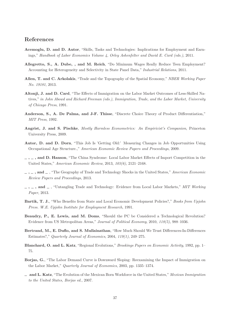# **References**

- **Acemoglu, D. and D. Autor**, "Skills, Tasks and Technologies: Implications for Employment and Earnings," *Handbook of Labor Economics Volume 4, Orley Ashenfelter and David E. Card (eds.)*, 2011.
- **Allegretto, S., A. Dube, , and M. Reich**, "Do Minimum Wages Really Reduce Teen Employment? Accounting for Heterogeneity and Selectivity in State Panel Data," *Industrial Relations*, 2011.
- **Allen, T. and C. Arkolakis**, "Trade and the Topography of the Spatial Economy," *NBER Working Paper No. 19181*, 2013.
- **Altonji, J. and D. Card**, "The Effects of Immigration on the Labor Market Outcomes of Less-Skilled Natives," *in John Abowd and Richard Freeman (eds.), Immigration, Trade, and the Labor Market, University of Chicago Press*, 1991.
- **Anderson, S., A. De Palma, and J-F. Thisse**, "Discrete Choice Theory of Product Differentiation," *MIT Press*, 1992.
- **Angrist, J. and S. Pischke**, *Mostly Harmless Econometrics: An Empiricist's Companion*, Princeton University Press, 2009.
- **Autor, D. and D. Dorn**, "This Job Is 'Getting Old:' Measuring Changes in Job Opportunities Using Occupational Age Structure.," *American Economic Review Papers and Proceedings*, 2009.
- **, , and D. Hanson**, "The China Syndrome: Local Labor Market Effects of Import Competition in the United States," *American Economic Review*, 2013, *103(6)*, 2121–2168.
- **, , and** , "The Geography of Trade and Technology Shocks in the United States," *American Economic Review Papers and Proceedings*, 2013.
- **, , and** , "Untangling Trade and Technology: Evidence from Local Labor Markets," *MIT Working Paper*, 2013.
- **Bartik, T. J.**, "Who Benefits from State and Local Economic Development Policies?," *Books from Upjohn Press. W.E. Upjohn Institute for Employment Research*, 1991.
- **Beaudry, P., E. Lewis, and M. Doms**, "Should the PC be Considered a Technological Revolution? Evidence from US Metropolitan Areas," *Journal of Political Economy*, 2010, *118(5)*, 988–1036.
- **Bertrand, M., E. Duflo, and S. Mullainathan**, "How Much Should We Trust Differences-In-Differences Estimates?," *Quarterly Journal of Economics*, 2004, *119(1)*, 249–275.
- **Blanchard, O. and L. Katz**, "Regional Evolutions," *Brookings Papers on Economic Activity*, 1992, pp. 1– 75.
- **Borjas, G.**, "The Labor Demand Curve is Downward Sloping: Reexamining the Impact of Immigration on the Labor Market," *Quarterly Journal of Economics*, 2003, pp. 1335–1374.
- **and L. Katz**, "The Evolution of the Mexican Born Workforce in the United States," *Mexican Immigration to the United States, Borjas ed.*, 2007.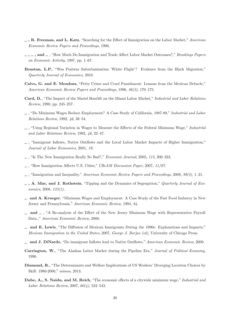- **, R. Freeman, and L. Katz**, "Searching for the Effect of Immigration on the Labor Market," *American Economic Review Papers and Proceedings*, 1996.
- **, , and** , "How Much Do Immigration and Trade Affect Labor Market Outcomes?," *Brookings Papers on Economic Activity*, 1997, pp. 1–67.
- **Boustan, L.P.**, "Was Postwar Suburbanization 'White Flight'? Evidence from the Black Migration," *Quarterly Journal of Economics*, 2010.
- **Calvo, G. and E. Mendoza**, "Petty Crime and Cruel Punishment: Lessons from the Mexican Debacle," *American Economic Review Papers and Proceedings*, 1996, *86(2)*, 170–175.
- **Card, D.**, "The Impact of the Mariel Boatlift on the Miami Labor Market," *Industrial and Labor Relations Review*, 1990, pp. 245–257.
- , "Do Minimum Wages Reduce Employment? A Case Study of California, 1987-89," *Industrial and Labor Relations Review*, 1992, *46*, 38–54.
- , "Using Regional Variation in Wages to Measure the Effects of the Federal Minimum Wage," *Industrial and Labor Relations Review*, 1992, *46*, 22–47.
- , "Immigrant Inflows, Native Outflows and the Local Labor Market Impacts of Higher Immigration," *Journal of Labor Economics*, 2001, *19.*
- , "Is The New Immigration Really So Bad?," *Economic Journal*, 2005, *115*, 300–323.
- , "How Immigration Affects U.S. Cities," *CReAM Discussion Paper*, 2007, *11/07.*
- , "Immigration and Inequality," *American Economic Review Papers and Proceedings*, 2009, *99(2)*, 1–21.
- **, A. Mas, and J. Rothstein**, "Tipping and the Dynamics of Segregation," *Quarterly Journal of Economics*, 2008, *123(1).*
- **and A. Krueger**, "Minimum Wages and Employment: A Case Study of the Fast Food Industry in New Jersey and Pennsylvania," *American Economic Review*, 1994, *84.*
- **and** , "A Re-analysis of the Effect of the New Jersey Minimum Wage with Representative Payroll Data.," *American Economic Review*, 2000.
- **and E. Lewis**, "The Diffusion of Mexican Immigrants During the 1990s: Explanations and Impacts," *Mexican Immigration to the United States*, 2007, *George J. Borjas (ed)*, University of Chicago Press.
- **and J. DiNardo**, "Do immigrant Inflows lead to Native Outflows," *American Economic Review*, 2000.
- **Carrington, W.**, "The Alaskan Labor Market during the Pipeline Era," *Journal of Political Economy*, 1996.
- **Diamond, R.**, "The Determinants and Welfare Implications of US Workers' Diverging Location Choices by Skill: 1980-2000," *mimeo*, 2013.
- **Dube, A., S. Naidu, and M. Reich**, "The economic effects of a citywide minimum wage," *Industrial and Labor Relations Review*, 2007, *60(4)*, 522–543.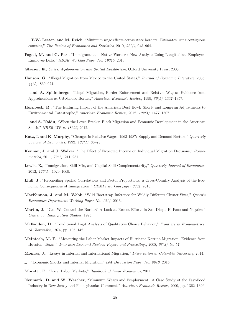- **, T.W. Lester, and M. Reich**, "Minimum wage effects across state borders: Estimates using contiguous counties," *The Review of Economics and Statistics*, 2010, *92(4)*, 945–964.
- **Foged, M. and G. Peri**, "Immigrants and Native Workers: New Analysis Using Longitudinal Employer-Employee Data," *NBER Working Paper No. 19315*, 2013.
- **Glaeser, E.**, *Cities, Agglomeration and Spatial Equilibrium*, Oxford University Press, 2008.
- **Hanson, G.**, "Illegal Migration from Mexico to the United States," *Journal of Economic Literature*, 2006, *44(4)*, 869–924.
- **and A. Spilimbergo**, "Illegal Migration, Border Enforcement and Relatvie Wages: Evidence from Apprehensions at US-Mexico Border," *American Economic Review*, 1999, *89(5)*, 1337–1357.
- **Hornbeck, R.**, "The Enduring Impact of the American Dust Bowl: Short- and Long-run Adjustments to Environmental Catastrophe," *American Economic Review*, 2012, *102(4)*, 1477–1507.
- **and S. Naidu**, "When the Levee Breaks: Black Migration and Economic Development in the American South," *NBER WP n. 18296*, 2012.
- **Katz, L and K. Murphy**, "Changes in Relative Wages, 1963-1987: Supply and Demand Factors," *Quarterly Journal of Economics*, 1992, *107(1)*, 35–78.
- **Kennan, J. and J. Walker**, "The Effect of Expected Income on Individual Migration Decisions," *Econometrica*, 2011, *79(1)*, 211–251.
- **Lewis, E.**, "Immigration, Skill Mix, and Capital-Skill Complementarity," *Quarterly Journal of Economics*, 2012, *126(1)*, 1029–1069.
- **Llull, J.**, "Reconciling Spatial Correlations and Factor Proportions: a Cross-Country Analysis of the Economic Consequences of Immigration," *CEMFI working paper 0802*, 2015.
- **MacKinnon, J. and M. Webb**, "Wild Bootstrap Inference for Wildly Different Cluster Sizes," *Queen's Economics Department Working Paper No. 1314*, 2013.
- **Martin, J.**, "Can We Control the Border? A Look at Recent Efforts in San Diego, El Paso and Nogales," *Center for Immigration Studies*, 1995.
- **McFadden, D.**, "Conditional Logit Analysis of Qualitative Choice Behavior," *Frontiers in Econometrics, ed. Zarembka*, 1974, pp. 105–142.
- **McIntosh, M. F.**, "Measuring the Labor Market Impacts of Hurricane Katrina Migration: Evidence from Houston, Texas," *American Economi Review: Papers and Proceedings*, 2008, *98(2)*, 54–57.
- **Monras, J.**, "Essays in Internal and International Migration," *Dissertation at Columbia University*, 2014.
- , "Economic Shocks and Internal Migration," *IZA Discussion Paper No. 8840*, 2015.
- **Moretti, E.**, "Local Labor Markets," *Handbook of Labor Economics*, 2011.
- **Neumark, D. and W. Wascher**, "Minimum Wages and Employment: A Case Study of the Fast-Food Industry in New Jersey and Pennsylvania: Comment," *American Economic Review*, 2000, pp. 1362–1396.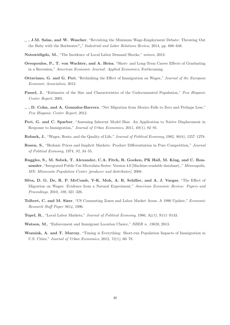- **, J.M. Salas, and W. Wascher**, "Revisiting the Minimum Wage-Employment Debate: Throwing Out the Baby with the Bathwater?"," *Industrial and Labor Relations Review*, 2014, pp. 608–648.
- **Notowidigdo, M.**, "The Incidence of Local Labor Demand Shocks," *mimeo*, 2013.
- **Oreopoulos, P., T. von Wachter, and A. Heisz**, "Short- and Long-Term Career Effects of Graduating in a Recession," *American Economic Journal: Applied Economics*, Forthcoming.
- **Ottaviano, G. and G. Peri**, "Rethinking the Effect of Immigration on Wages," *Journal of the European Economic Association*, 2012.
- **Passel, J.**, "Estimates of the Size and Characteristics of the Undocumented Population," *Pew Hispanic Center Report*, 2005.
- **, D. Cohn, and A. Gonzalez-Barrera**, "Net Migration from Mexico Falls to Zero and Perhaps Less," *Pew Hispanic Center Report*, 2012.
- **Peri, G. and C. Sparber**, "Assessing Inherent Model Bias: An Application to Native Displacement in Response to Immigration," *Journal of Urban Economics*, 2011, *69(1)*, 82–91.
- **Roback, J.**, "Wages, Rents, and the Quality of Life," *Journal of Political Economy*, 1982, *90(6)*, 1257–1278.
- **Rosen, S.**, "Hedonic Prices and Implicit Markets: Product Differentiation in Pure Competition," *Journal of Political Economy*, 1974, *82*, 34–55.
- **Ruggles, S., M. Sobek, T. Alexander, C.A. Fitch, R. Goeken, PK Hall, M. King, and C. Ronnander**, "Integrated Public Use Microdata Series: Version 4.0 [Machine-readable database].," *Minneapolis, MN: Minnesota Population Center [producer and distributor]*, 2008.
- **Silva, D. G. De, R. P. McComb, Y-K. Moh, A. R. Schiller, and A. J. Vargas**, "The Effect of Migration on Wages: Evidence from a Natural Experiment," *American Economic Review: Papers and Proceedings*, 2010, *100*, 321–326.
- **Tolbert, C. and M. Sizer**, "US Commuting Zones and Labor Market Areas. A 1990 Update," *Economic Research Staff Paper 9614*, 1996.
- **Topel, R.**, "Local Labor Markets," *Journal of Political Economy*, 1986, *94(3)*, S111–S143.
- **Watson, M.**, "Enforcement and Immigrant Location Choice," *NBER n. 19626*, 2013.
- **Wozniak, A. and T. Murray**, "Timing is Everything: Short-run Population Impacts of Immigration in U.S. Cities," *Journal of Urban Economics*, 2012, *72(1)*, 60–78.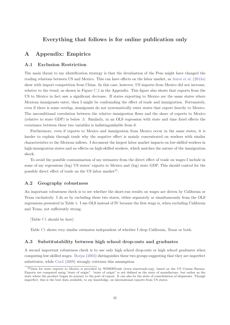# **Everything that follows is for online publication only**

# **A Appendix: Empirics**

#### **A.1 Exclusion Restriction**

The main threat to my identification strategy is that the devaluation of the Peso might have changed the trading relations between US and Mexico. This can have effects on the labor market, as Autor et al. (2013a) show with import competition from China. In this case, however, US imports from Mexico did not increase, relative to the trend, as shown in Figure C.2 in the Appendix. This figure also shows that exports from the US to Mexico in fact saw a significant decrease. If states exporting to Mexico are the same states where Mexican immigrants enter, then I might be confounding the effect of trade and immigration. Fortunately, even if there is some overlap, immigrants do not systematically enter states that export heavily to Mexico. The unconditional correlation between the relative immigration flows and the share of exports to Mexico (relative to state GDP) is below .5. Similarly, in an OLS regression with state and time fixed effects the covariance between these two variables is indistinguishable from 0.

Furthermore, even if exports to Mexico and immigration from Mexico occur in the same states, it is harder to explain through trade why the negative effect is mainly concentrated on workers with similar characteristics to the Mexican inflows. I document the largest labor market impacts on low-skilled workers in high-immigration states and no effects on high-skilled workers, which matches the nature of the immigration shock.

To avoid the possible contamination of my estimates from the direct effect of trade on wages I include in some of my regressions (log) US states' exports to Mexico and (log) state GDP. This should control for the possible direct effect of trade on the US labor market<sup>35</sup>.

#### **A.2 Geography robustness**

An important robustness check is to see whether the short-run results on wages are driven by California or Texas exclusively. I do so by excluding these two states, either separately or simultaneously from the OLS regressions presented in Table 4. I use OLS instead of IV because the first stage is, when excluding California and Texas, not sufficiently strong.

[Table C1 should be here]

Table C1 shows very similar estimates independent of whether I drop California, Texas or both.

#### **A.3 Substitutability between high school drop-outs and graduates**

A second important robustness check is to use only high school drop-outs or high school graduates when computing low-skilled wages. Borjas (2003) distinguishes these two groups suggesting that they are imperfect substitutes, while Card (2009) strongly criticizes this assumption.

<sup>35</sup>Data for state exports to Mexico is provided by WISERTrade (www.wisertrade.org), based on the US Census Bureau. Exports are computed using "state of origin". "state of origin" is not defined as the state of manufacture, but rather as the state where the product began its journey to the port of export. It can also be the state of consolidation of shipments. Though imperfect, this is the best data available, to my knowledge, on international exports from US states.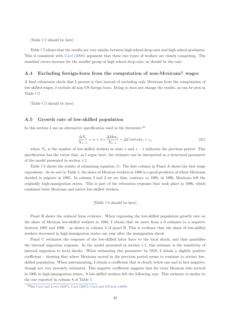[Table C2 should be here]

Table C2 shows that the results are very similar between high school drop-outs and high school graduates. This is consistent with Card (2009) argument that these two types of workers are closely competing. The standard errors increase for the smaller group of high school drop-outs, as should be the case.

#### **A.4 Excluding foreign-born from the computation of non-Mexicans? wages**

A final robustness check that I present is that instead of excluding only Mexicans from the computation of low-skilled wages, I exclude all non-US foreign born. Doing so does not change the results, as can be seen in Table C3

[Table C3 should be here]

#### **A.5 Growth rate of low-skilled population**

In this section I use an alternative specification used in the literature:<sup>36</sup>

$$
\frac{\Delta N_s}{N_{s-1}} = \alpha + \beta * \frac{\Delta \text{Mex}_s}{N_{s-1}} + \Delta \text{Controls}_s + \varepsilon_s \tag{21}
$$

where  $N_s$  is the number of low-skilled workers in state *s* and  $s - 1$  indicates the previous period. This specification has the virtue that, as I argue later, the estimate can be interpreted as a structural parameter of the model presented in section 4.2.

Table C6 shows the results of estimating equation 21. The first column in Panel A shows the first stage regressions. As we saw in Table 3, the share of Mexican workers in 1980 is a good predictor of where Mexicans decided to migrate in 1995. In column 2 and 3 we see that, contrary to 1995, in 1996, Mexicans left the originally high-immigration states. This is part of the relocation response that took place in 1996, which combined both Mexicans and native low-skilled workers.

#### [Table C6 should be here]

Panel B shows the reduced form evidence. When regressing the low-skilled population growth rate on the share of Mexican low-skilled workers in 1980, I obtain that we move from a 0 estimate to a negative between 1995 and 1996 – as shown in column 3 of panel B. This is evidence that the share of low-skilled workers decreased in high-immigration states one year after the immigration shock.

Panel C estimates the response of the low-skilled labor force to the local shock, and thus quantifies the internal migration response. In the model presented in section 4.2, this estimate is the sensitivity of internal migration to local shocks. When estimating this parameter by OLS, I obtain a slightly positive coefficient – showing that where Mexicans moved in the previous period seems to continue to attract lowskilled population. When instrumenting, I obtain a coefficient that is clearly below one and in fact negative, though not very precisely estimated. This negative coefficient suggests that for every Mexican who arrived in 1995 in high-immigration states, .9 low-skilled workers left the following year. This estimate is similar to the one reported in column 8 of Table 5.

<sup>36</sup>See Card and Lewis (2007), Card (2007), Card and DiNardo (2000)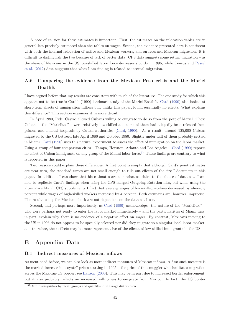A note of caution for these estimates is important. First, the estimates on the relocation tables are in general less precisely estimated than the tables on wages. Second, the evidence presented here is consistent with both the internal relocation of native and Mexican workers, and on returned Mexican migration. It is difficult to distinguish the two because of lack of better data. CPS data suggests some return migration – as the share of Mexicans in the US low-skilled labor force decreases slightly in 1996, while Census and Passel et al. (2012) data suggests that what I am finding is related to internal migration.

# **A.6 Comparing the evidence from the Mexican Peso crisis and the Mariel Boatlift**

I have argued before that my results are consistent with much of the literature. The one study for which this appears not to be true is Card's (1990) landmark study of the Mariel Boatlift. Card (1990) also looked at short-term effects of immigration inflows but, unlike this paper, found essentially no effects. What explains this difference? This section examines it in more detail.

In April 1980, Fidel Castro allowed Cubans willing to emigrate to do so from the port of Mariel. These Cubans – the "Marielitos" – were relatively low-skilled and some of them had allegedly been released from prisons and mental hospitals by Cuban authorities (Card, 1990). As a result, around 125,000 Cubans migrated to the US between late April 1980 and October 1980. Slightly under half of them probably settled in Miami. Card (1990) uses this natural experiment to assess the effect of immigration on the labor market. Using a group of four comparison cities – Tampa, Houston, Atlanta and Los Angeles – Card (1990) reports no effect of Cuban immigrants on any group of the Miami labor force.<sup>37</sup> These findings are contrary to what is reported in this paper.

Two reasons could explain these differences. A first point is simply that although Card's point estimates are near zero, the standard errors are not small enough to rule out effects of the size I document in this paper. In addition, I can show that his estimates are somewhat sensitive to the choice of data set. I am able to replicate Card's findings when using the CPS merged Outgoing Rotation files, but when using the alternative March CPS supplements I find that average wages of low-skilled workers decreased by almost 8 percent while wages of high-skilled workers increased by 4 percent. Both estimates are, however, imprecise. The results using the Mexican shock are not dependent on the data set I use.

Second, and perhaps more importantly, as Card (1990) acknowledges, the nature of the "Marielitos" – who were perhaps not ready to enter the labor market immediately – and the particularities of Miami may, in part, explain why there is no evidence of a negative effect on wages. By contrast, Mexicans moving to the US in 1995 do not appear to be specially selected nor did they migrate to a singular local labor market, and therefore, their effects may be more representative of the effects of low-skilled immigrants in the US.

# **B Appendix: Data**

#### **B.1 Indirect measures of Mexican inflows**

As mentioned before, we can also look at more indirect measures of Mexican inflows. A first such measure is the marked increase in "coyote" prices starting in 1995 – the price of the smuggler who facilitates migration across the Mexican-US border, see Hanson (2006). This may be in part due to increased border enforcement, but it also probably reflects an increased willingness to emigrate from Mexico. In fact, the US border

<sup>&</sup>lt;sup>37</sup>Card distinguishes by racial groups and quartiles in the wage distribution.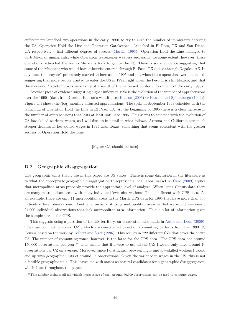enforcement launched two operations in the early 1990s to try to curb the number of immigrants entering the US. Operation Hold the Line and Operation Gatekeeper – launched in El Paso, TX and San Diego, CA respectively – had different degrees of success (Martin, 1995). Operation Hold the Line managed to curb Mexican immigrants, while Operation Gatekeeper was less successful. To some extent, however, these operations redirected the routes Mexicans took to get to the US. There is some evidence suggesting that some of the Mexicans who would have otherwise entered through El Paso, TX did so through Nogales, AZ. In any case, the "coyote" prices only started to increase in 1995 and not when these operations were launched, suggesting that more people wanted to enter the US in 1995, right when the Peso Crisis hit Mexico, and that the increased "coyote" prices were not just a result of the increased border enforcement of the early 1990s.

Another piece of evidence suggesting higher inflows in 1995 is the evolution of the number of apprehensions over the 1990s (data from Gordon Hanson's website, see Hanson (2006) or Hanson and Spilimbergo (1999)). Figure C.1 shows the (log) monthly adjusted apprehensions. The spike in September 1993 coincides with the launching of Operation Hold the Line in El Paso, TX. At the beginning of 1995 there is a clear increase in the number of apprehensions that lasts at least until late 1996. This seems to coincide with the evolution of US low-skilled workers' wages, as I will discuss in detail in what follows. Arizona and California saw much steeper declines in low-skilled wages in 1995 than Texas, something that seems consistent with the greater success of Operation Hold the Line.

[Figure C.1 should be here]

#### **B.2 Geographic disaggregation**

The geographic units that I use in this paper are US states. There is some discussion in the literature as to what the appropriate geographic disaggregation to represent a local labor market is. Card (2009) argues that metropolitan areas probably provide the appropriate level of analysis. When using Census data there are many metropolitan areas with many individual level observations. This is different with CPS data. As an example, there are only 11 metropolitan areas in the March CPS data for 1995 that have more than 500 individual level observations. Another drawback of using metropolitan areas is that we would lose nearly 24,000 individual observations that lack metropolitan area information. This is a lot of information given the sample size in the CPS.

This suggests using a partition of the US territory, an observation also made in Autor and Dorn (2009). They use commuting zones (CZ), which are constructed based on commuting patterns from the 1990 US Census based on the work by Tolbert and Sizer (1996). This results in 722 different CZs that cover the entire US. The number of commuting zones, however, is too large for the CPS data. The CPS data has around 150,000 observations per year.<sup>38</sup> This means that if I were to use all the CZs I would only have around 70 observations per CZ on average. Moreover, since I distinguish between high- and low-skilled workers I would end up with geographic units of around 35 observations. Given the variance in wages in the US, this is not a feasible geographic unit. This leaves me with states as natural candidates for a geographic disaggregation, which I use throughout the paper.

<sup>38</sup>This number includes all individuals irrespective of age. Around 60,000 observations can be used to compute wages.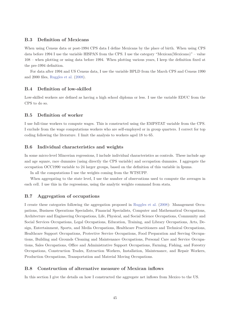#### **B.3 Definition of Mexicans**

When using Census data or post-1994 CPS data I define Mexicans by the place of birth. When using CPS data before 1994 I use the variable HISPAN from the CPS. I use the category "Mexican(Mexicano)" – value 108 – when plotting or using data before 1994. When plotting various years, I keep the definition fixed at the pre-1994 definition.

For data after 1994 and US Census data, I use the variable BPLD from the March CPS and Census 1990 and 2000 files, Ruggles et al. (2008).

#### **B.4 Definition of low-skilled**

Low-skilled workers are defined as having a high school diploma or less. I use the variable EDUC from the CPS to do so.

## **B.5 Definition of worker**

I use full-time workers to compute wages. This is constructed using the EMPSTAT variable from the CPS. I exclude from the wage computations workers who are self-employed or in group quarters. I correct for top coding following the literature. I limit the analysis to workers aged 18 to 65.

#### **B.6 Individual characteristics and weights**

In some micro-level Mincerian regressions, I include individual characteristics as controls. These include age and age square, race dummies (using directly the CPS variable) and occupation dummies. I aggregate the occupation OCC1990 variable to 24 larger groups, based on the definition of this variable in Ipums.

In all the computations I use the weights coming from the WTSUPP.

When aggregating to the state level, I use the number of observations used to compute the averages in each cell. I use this in the regressions, using the analytic weights command from stata.

#### **B.7 Aggregation of occupations**

I create these categories following the aggregation proposed in Ruggles et al. (2008): Management Occupations, Business Operations Specialists, Financial Specialists, Computer and Mathematical Occupations, Architecture and Engineering Occupations, Life, Physical, and Social Science Occupations, Community and Social Services Occupations, Legal Occupations, Education, Training, and Library Occupations, Arts, Design, Entertainment, Sports, and Media Occupations, Healthcare Practitioners and Technical Occupations, Healthcare Support Occupations, Protective Service Occupations, Food Preparation and Serving Occupations, Building and Grounds Cleaning and Maintenance Occupations, Personal Care and Service Occupations, Sales Occupations, Office and Administrative Support Occupations, Farming, Fishing, and Forestry Occupations, Construction Trades, Extraction Workers, Installation, Maintenance, and Repair Workers, Production Occupations, Transportation and Material Moving Occupations.

#### **B.8 Construction of alternative measure of Mexican inflows**

In this section I give the details on how I constructed the aggregate net inflows from Mexico to the US.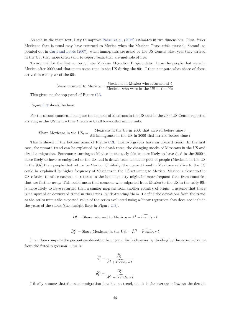As said in the main text, I try to improve Passel et al. (2012) estimates in two dimensions. First, fewer Mexicans than is usual may have returned to Mexico when the Mexican Pesos crisis started. Second, as pointed out in Card and Lewis (2007), when immigrants are asked by the US Census what year they arrived in the US, they more often tend to report years that are multiple of five.

To account for the first concern, I use Mexican Migration Project data. I use the people that were in Mexico after 2000 and that spent some time in the US during the 90s. I then compute what share of those arrived in each year of the 90s:

> Share returned to  $Mexico_t = \frac{Mexican\sin Mexico\ who\ returned\ at\ t}{Mexicon\ who\ wrong\ in\ the\ MC}$ Mexican who were in the US in the 90s

This gives me the top panel of Figure C.3.

Figure C.3 should be here

For the second concern, I compute the number of Mexicans in the US that in the 2000 US Census reported arriving in the US before time *t* relative to all low-skilled immigrants:

Share Mexicans in the US<sub>t</sub> = 
$$
\frac{\text{Mexicans in the US in 2000 that arrived before time } t}{\text{All impigrams in the US in 2000 that arrived before time } t}
$$

This is shown in the bottom panel of Figure C.3. The two graphs have an upward trend. In the first case, the upward trend can be explained by the death rates, the changing stocks of Mexicans in the US and circular migration. Someone returning to Mexico in the early 90s is more likely to have died in the 2000s, more likely to have re-emigrated to the US and is drawn from a smaller pool of people (Mexicans in the US in the 90s) than people that return to Mexico. Similarly, the upward trend in Mexicans relative to the US could be explained by higher frequency of Mexicans in the US returning to Mexico. Mexico is closer to the US relative to other nations, so returns to the home country might be more frequent than from countries that are further away. This could mean that someone who migrated from Mexico to the US in the early 90s is more likely to have returned than a similar migrant from another country of origin. I assume that there is no upward or downward trend in this series, by de-trending them. I define the deviations from the trend as the series minus the expected value of the series evaluated using a linear regression that does not include the years of the shock (the straight lines in Figure C.3).

$$
\hat{D}_t^I = \text{Share returned to Mexico}_t - \hat{A}^I - \widehat{trend}_I*t
$$

$$
\hat{D}_{t}^{O} =
$$
Share Mexicans in the  $\text{US}_{t} - \hat{A}^{O} - \widehat{trendO} * t$ 

I can then compute the percentage deviation from trend for both series by dividing by the expected value from the fitted regression. This is:

$$
\hat{d}_t^I = \frac{\hat{D}_t^I}{\hat{A}^I + \widehat{trend}_I * t}
$$

$$
\hat{d}_t^O = \frac{\hat{D}_t^O}{\hat{A}^O + \widehat{trend}_O * t}
$$

I finally assume that the net immigration flow has no trend, i.e. it is the average inflow on the decade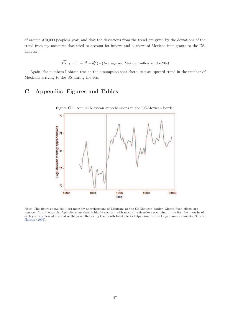of around 370,000 people a year, and that the deviations from the trend are given by the deviations of the trend from my measures that tried to account for inflows and outflows of Mexican immigrants to the US. This is:

$$
\widehat{Mex}_t = (1 + \widehat{d}_t^I - \widehat{d}_t^O) * (\text{Average net Mexican inflow in the 90s})
$$

Again, the numbers I obtain rest on the assumption that there isn't an upward trend in the number of Mexicans arriving to the US during the 90s.

# **C Appendix: Figures and Tables**



Figure C.1: Annual Mexican apprehensions in the US-Mexican border

Note: This figure shows the (log) monthly apprehensions of Mexicans at the US-Mexican border. Month fixed effects are removed from the graph. Apprehensions data is highly cyclical, with most apprehensions occurring in the first few months of each year and less at the end of the year. Removing the month fixed effects helps visualize the longer run movements. Source: Hanson (2006).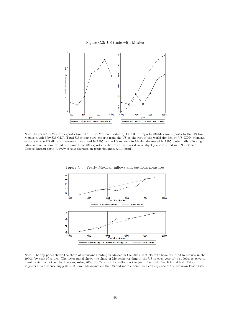Figure C.2: US trade with Mexico



Note: Exports US-Mex are exports from the US to Mexico divided by US GDP. Imports US-Mex are imports to the US from Mexico divided by US GDP. Total US exports are exports from the US to the rest of the world divided by US GDP. Mexican exports to the US did not increase above trend in 1995, while US exports to Mexico decreased in 1995, potentially affecting labor market outcomes. At the same time US exports to the rest of the world were slightly above trend in 1995. Source: Census Bureau (http://www.census.gov/foreign-trade/balance/c2010.html)



Figure C.3: Yearly Mexican inflows and outflows measures

Note: The top panel shows the share of Mexicans residing in Mexico in the 2000s that claim to have returned to Mexico in the 1990s, by year of return. The lower panel shows the share of Mexicans residing in the US in each year of the 1990s, relative to immigrants from other destinations, using 2000 US Census information on the year of arrival of each individual. Taken together this evidence suggests that fewer Mexicans left the US and more entered as a consequence of the Mexican Peso Crisis.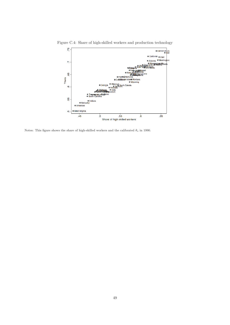

Figure C.4: Share of high-skilled workers and production technology

Notes: This figure shows the share of high-skilled workers and the calibrated  $\theta_s$  in 1990.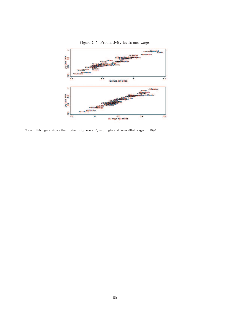

Figure C.5: Productivity levels and wages

Notes: This figure shows the productivity levels  $B_s$  and high- and low-skilled wages in 1990.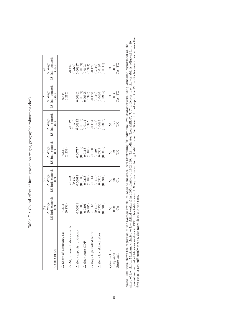| ֕<br>l<br>֖֖֖֖֖֖֖֧ׅ֖֖֧ׅ֖֧֪֪ׅ֖֧֚֚֚֚֚֚֚֚֚֚֚֚֚֚֚֚֚֚֚֚֚֚֬֝֬֝֬֝֓<br>l                                 |
|--------------------------------------------------------------------------------------------------|
| <br> <br> <br>i<br>I                                                                             |
| こうしょう しょくさく くくく<br>l<br>֖֖֖֖֖֖֧ׅ֖֖֧ׅ֖֧֖֧ׅ֪֧֚֚֚֚֚֚֚֚֚֚֚֚֚֚֚֚֚֚֚֚֚֚֚֚֚֚֬֕֓֕֬֓֝֝֓֬֓֬֝֬֝֬֝֬֓֬֝֬<br>I |
| 5<br>てくて くりり りょく<br>Ś                                                                            |
| ;<br>;                                                                                           |
| l<br>$\frac{1}{2}$<br>١                                                                          |
| ֠<br>ł                                                                                           |
| י<br>י<br>ł<br>l                                                                                 |
| I<br>j<br>j<br>ľ                                                                                 |
| ֕                                                                                                |
| I<br>į<br>j<br>$\overline{\phantom{a}}$<br>I                                                     |

| VARIABLES                         | LS Ind. controls<br>$\begin{array}{c} \text{(1)}\\ \Delta\text{ Wage} \end{array}$<br><b>OLS</b>                      | LS Ind. controls<br>$\frac{1}{2}$<br>$\Delta$ Wage<br><b>OLS</b>                                                                            | LS Ind. controls<br>$\frac{1}{2}$<br>$\Delta$ Wage<br><b>OLS</b>                                       | LS Ind. controls<br>$\overset{(4)}{\Delta}$ Wage<br><b>OLS</b>                                                                           | LS Ind. controls<br>$\overline{5}$ )<br>$\Delta$ Wage<br><b>OLS</b>                                     | LS Ind. controls<br>$\frac{\overline{(6)}}{\Delta \text{ Wage}}$<br><b>CLIO</b>                                                                          |
|-----------------------------------|-----------------------------------------------------------------------------------------------------------------------|---------------------------------------------------------------------------------------------------------------------------------------------|--------------------------------------------------------------------------------------------------------|------------------------------------------------------------------------------------------------------------------------------------------|---------------------------------------------------------------------------------------------------------|----------------------------------------------------------------------------------------------------------------------------------------------------------|
| A Share of Mexicans, LS           | $-0.503$<br>$(0.258)$                                                                                                 |                                                                                                                                             | $-0.611$<br>$(0.232)$                                                                                  |                                                                                                                                          | $-0.544$<br>$(0.275)$                                                                                   |                                                                                                                                                          |
| Adj. Share of Mexicans, LS        |                                                                                                                       | $\begin{array}{c} -0.423 \\ (0.242) \\ 0.00914 \\ (0.0108) \\ (0.0233 \\ (0.389) \\ (0.110) \\ -0.114 \\ (0.100) \\ (0.0523 \\ \end{array}$ |                                                                                                        | $\begin{array}{l} -0.512 \\ (0.170) \\ 0.00822 \\ 0.0107) \\ 0.0144 \\ (0.385) \\ (0.385) \\ -0.124 \\ (0.106) \\ 0.0493 \\ \end{array}$ |                                                                                                         | $\begin{array}{c} -0.494 \\ (0.270) \\ (0.0837) \\ (0.0109) \\ (0.0103) \\ (0.0103) \\ (0.384) \\ -0.121 \\ (0.100) \\ (0.110) \\ 0.0480 \\ \end{array}$ |
| $\Delta$ (log) exports to Mexico  | 1.00921                                                                                                               |                                                                                                                                             | 1.00777                                                                                                |                                                                                                                                          | 0.00862                                                                                                 |                                                                                                                                                          |
|                                   |                                                                                                                       |                                                                                                                                             |                                                                                                        |                                                                                                                                          |                                                                                                         |                                                                                                                                                          |
| $\Delta$ (log) state GDP          |                                                                                                                       |                                                                                                                                             |                                                                                                        |                                                                                                                                          |                                                                                                         |                                                                                                                                                          |
|                                   |                                                                                                                       |                                                                                                                                             |                                                                                                        |                                                                                                                                          |                                                                                                         |                                                                                                                                                          |
| $\Delta$ (log) high skilled labor |                                                                                                                       |                                                                                                                                             |                                                                                                        |                                                                                                                                          |                                                                                                         |                                                                                                                                                          |
|                                   |                                                                                                                       |                                                                                                                                             |                                                                                                        |                                                                                                                                          |                                                                                                         |                                                                                                                                                          |
| $\Delta$ (log) low skilled labor  |                                                                                                                       |                                                                                                                                             |                                                                                                        |                                                                                                                                          |                                                                                                         |                                                                                                                                                          |
|                                   | $\begin{array}{c} (0.0108) \\ 0.0201 \\ (0.385) \\ (0.118) \\ (0.110) \\ (0.110) \\ (0.0530) \\ (0.0530) \end{array}$ |                                                                                                                                             | $\begin{array}{l} (0.0107) \\ 0.0113 \\ (0.383) \\ -0.130 \\ (0.108) \\ 0.0539 \\ (0.0539 \end{array}$ |                                                                                                                                          | $\begin{array}{l} (0.0109) \\ 0.00325 \\ (0.386) \\ -0.122 \\ (0.110) \\ (0.110) \\ 0.0486 \end{array}$ |                                                                                                                                                          |
| Observations                      |                                                                                                                       |                                                                                                                                             |                                                                                                        |                                                                                                                                          |                                                                                                         | 49                                                                                                                                                       |
| R-squared                         | 0.088<br>CA                                                                                                           | 0.080                                                                                                                                       | $_{\rm TX}^{123}$                                                                                      | $\frac{127}{TX}$                                                                                                                         | $^{49}_{0.094}$<br>CA, TX                                                                               | $0.091$<br>CA, TX                                                                                                                                        |
| State excl                        |                                                                                                                       |                                                                                                                                             |                                                                                                        |                                                                                                                                          |                                                                                                         |                                                                                                                                                          |

Notes: This table shows the regression of the average low-skilled wage at the state level (controlling for individual level characteristics using Mincerian regressions) on the share of low-skilled Mexicans (relative to lo percent undercount of Mexican workers in 1995. This table shows OLS regressions excluding California and/or Texas. I do not report the IV results because in some cases the share of low-skilled Mexicans (relative to low-skilled workers) in 1995 relative to 1992-1994. 'LS' indicates 'Low-skilled', 'UC' indicates that the variable is adjusted for a 10 Notes: This table shows the regression of the average low-skilled wage at the state level (controlling for individual level characteristics using Mincerian regressions) on the first stage is not sufficiently strong. See more details in the text.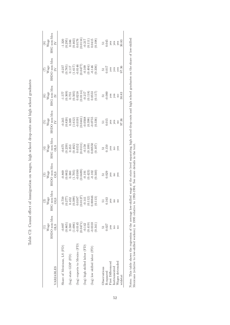|                                                                                                                                      | HSDO non-Mex<br>Wage<br><b>OLS</b> | $\begin{array}{c} (2)\\ {\rm Wage}\\ {\rm HSG non-Mex}\\ {\rm C}^{\bullet\bullet} \end{array}$<br><b>CTO</b>                                | $\begin{array}{c} \begin{array}{c} \text{(3)} \\ \text{Wage} \end{array} \\ \text{HSDO non-Mex} \end{array}$                                                                                                                                                                      | $\begin{array}{c}\n\text{(4)}\\ \text{Wage} \\ \text{HSG non-Mex}\\ \underline{\text{OLS}}\n\end{array}$                                 | $\begin{array}{c}\n\boxed{5)}\\ \text{Wage} \\ \text{HSDO non-Mex} \\ \underline{IV} \\ \underline{IV}\n\end{array} \quad ,$                                                                                                                                                                                                 | $\begin{array}{c}\n\text{(6)}\\ \text{Wage} \\ \text{HSG non-Mex} \\ \text{IV}\n\end{array}$                                                                                         | $\begin{array}{c}\n\hline\n(7)\\ \hline\nWage\\ \hline\nHSDO non-Mex\\ \hline\nTV\n\end{array}$                                                                                                                                                                                              | $\begin{array}{c}\n \overline{(8)}\\ \text{Wage} \\ \text{HSG non-Mex}\\ \underline{I} \\ \underline{V}\n\end{array}$                                                                                                                                                                                                                                                                                       |
|--------------------------------------------------------------------------------------------------------------------------------------|------------------------------------|---------------------------------------------------------------------------------------------------------------------------------------------|-----------------------------------------------------------------------------------------------------------------------------------------------------------------------------------------------------------------------------------------------------------------------------------|------------------------------------------------------------------------------------------------------------------------------------------|------------------------------------------------------------------------------------------------------------------------------------------------------------------------------------------------------------------------------------------------------------------------------------------------------------------------------|--------------------------------------------------------------------------------------------------------------------------------------------------------------------------------------|----------------------------------------------------------------------------------------------------------------------------------------------------------------------------------------------------------------------------------------------------------------------------------------------|-------------------------------------------------------------------------------------------------------------------------------------------------------------------------------------------------------------------------------------------------------------------------------------------------------------------------------------------------------------------------------------------------------------|
| (0.865)<br>$-0.897$<br>Share of Mexicans, LS (FD)                                                                                    |                                    |                                                                                                                                             |                                                                                                                                                                                                                                                                                   |                                                                                                                                          |                                                                                                                                                                                                                                                                                                                              |                                                                                                                                                                                      |                                                                                                                                                                                                                                                                                              |                                                                                                                                                                                                                                                                                                                                                                                                             |
| 0.580<br>(log) state GDP (FD)                                                                                                        |                                    |                                                                                                                                             |                                                                                                                                                                                                                                                                                   |                                                                                                                                          |                                                                                                                                                                                                                                                                                                                              |                                                                                                                                                                                      |                                                                                                                                                                                                                                                                                              |                                                                                                                                                                                                                                                                                                                                                                                                             |
| (log) exports to Mexico (FD)                                                                                                         |                                    |                                                                                                                                             |                                                                                                                                                                                                                                                                                   |                                                                                                                                          |                                                                                                                                                                                                                                                                                                                              |                                                                                                                                                                                      |                                                                                                                                                                                                                                                                                              |                                                                                                                                                                                                                                                                                                                                                                                                             |
| $\begin{array}{c} (1.696) \\ -0.0145 \\ 0.0471) \\ 0.142 \\ 0.142 \\ 0.0419) \\ 0.0310 \end{array}$<br>(log) high skilled labor (FD) |                                    |                                                                                                                                             |                                                                                                                                                                                                                                                                                   |                                                                                                                                          |                                                                                                                                                                                                                                                                                                                              |                                                                                                                                                                                      |                                                                                                                                                                                                                                                                                              |                                                                                                                                                                                                                                                                                                                                                                                                             |
| (0.341)<br>(log) low skilled labor (FD)                                                                                              |                                    | $\begin{array}{c} -0.739 \\ (0.277) \\ (0.277) \\ 0.452 \\ (0.399) \\ (0.0187 \\ (0.0127) \\ (0.112) \\ (0.112) \\ (0.00846 \\ \end{array}$ | $\begin{array}{c} \textbf{-0.869} \\ \textbf{0.882)} \\ \textbf{0.380} \\ \textbf{0.1705} \\ \textbf{0.1000} \\ \textbf{-0.101} \\ \textbf{-0.101} \\ \textbf{-0.191} \\ \textbf{-0.192} \\ \textbf{-0.102} \\ \textbf{-0.102} \\ \textbf{-0.102} \\ \textbf{-0.103} \end{array}$ | $\begin{array}{c} -0.675 \\ (0.239) \\ 0.353 \\ (0.402) \\ (0.152 \\ (0.0131) \\ -0.158 \\ (0.109) \\ (0.109) \\ 0.00550 \\ \end{array}$ | $\begin{array}{l} -0.245 \\ -0.820) \\ -0.309 \\ -0.10121 \\ -0.04611 \\ -0.0368 \\ -0.0398 \\ -0.0398 \\ -0.0398 \\ -0.0398 \\ -0.0398 \\ -0.015 \\ -0.015 \\ -0.015 \\ -0.015 \\ -0.015 \\ -0.015 \\ -0.015 \\ -0.015 \\ -0.015 \\ -0.015 \\ -0.015 \\ -0.015 \\ -0.015 \\ -0.015 \\ -0.015 \\ -0.015 \\ -0.015 \\ -0.015$ | $\begin{array}{l} -1.577\\ -1.369)\\ 0.755\\ 0.0111\\ -0.01218\\ 0.0111\\ -0.0111\\ -0.0118\\ 0.0117\\ -0.000\\ 0.0117\\ 0.0117\\ 0.000\\ -0.000\\ 0.000\\ 0.83\\ 30.83 \end{array}$ | $\begin{array}{l} (965.0)\\ (100.1)\\ (100.0)\\ (100.1)\\ (100.0)\\ (100.0)\\ (100.0)\\ (100.0)\\ (100.0)\\ (100.0)\\ (100.0)\\ (100.0)\\ (100.0)\\ (100.0)\\ (100.0)\\ (100.0)\\ (100.0)\\ (100.0)\\ (100.0)\\ (100.0)\\ (100.0)\\ (100.0)\\ (100.0)\\ (100.0)\\ (100.0)\\ (100.0)\\ (100.$ | $\begin{array}{l} -1.320\\ (0.295)\\ (0.463)\\ (0.463)\\ (0.0176)\\ (0.0111)\\ (0.0111)\\ (0.0111)\\ (0.0111)\\ (0.0111)\\ (0.0101)\\ (0.0108)\\ \text{by }8\text{ }\text{9}\text{ }\text{9}\text{ }\text{9}\text{ }\text{9}\text{ }\text{9}\text{ }\text{9}\text{ }\text{9}\text{ }\text{9}\text{ }\text{3}\text{ }\text{3}\text{ }\text{3}\text{ }\text{3}\text{ }\text{3}\text{ }\text{3}\text{ }\text{$ |
| 0.027<br>Observations<br>R-squared                                                                                                   |                                    | $\begin{array}{c} 51 \\ 0.163 \end{array}$                                                                                                  | $\frac{51}{0.029}$                                                                                                                                                                                                                                                                | $\begin{array}{c} 51 \\ 0.150 \\ \text{yes} \\ \text{no} \\ \text{yes} \end{array}$                                                      |                                                                                                                                                                                                                                                                                                                              |                                                                                                                                                                                      |                                                                                                                                                                                                                                                                                              |                                                                                                                                                                                                                                                                                                                                                                                                             |
| yes<br>no<br>First Differenced<br>Instrumented                                                                                       |                                    | $\begin{array}{c}\text{yes}\\ \text{no}\\ \text{no}\end{array}$                                                                             | $y$ es<br>no                                                                                                                                                                                                                                                                      |                                                                                                                                          |                                                                                                                                                                                                                                                                                                                              |                                                                                                                                                                                      |                                                                                                                                                                                                                                                                                              |                                                                                                                                                                                                                                                                                                                                                                                                             |
| no<br>Wages detrended<br>widstat                                                                                                     |                                    |                                                                                                                                             |                                                                                                                                                                                                                                                                                   |                                                                                                                                          |                                                                                                                                                                                                                                                                                                                              |                                                                                                                                                                                      | $\frac{51}{10.017}$<br>yes<br>yes<br>yes<br>yes<br>97.36                                                                                                                                                                                                                                     |                                                                                                                                                                                                                                                                                                                                                                                                             |

Table C2: Causal effect of immigration on wages, high school drop-outs and high school graduates Table C2: Causal effect of immigration on wages, high school drop-outs and high school graduates

52

Notes: This table shows the regression of the average low-skilled wage at the state level separating high school drop-outs and high school graduates on the share of low-skilled<br>Mexicans (relative to low-skilled workers) in Notes: This table shows the regression of the average low-skilled wage at the state level separating high school drop-outs and high school graduates on the share of low-skilled Mexicans (relative to low-skilled workers) in 1995 relative to 1992-1994. See more details in the text.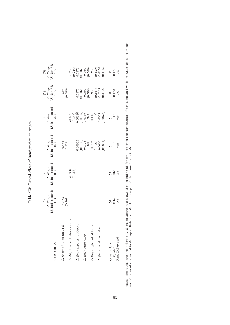| VARIABLES                         | LS Ind. controls<br>$\frac{1}{\Delta}$<br>$\Delta$ Wage<br><b>OLS</b> | $\operatorname{LS}$ Ind. controls OLS<br>$\frac{1}{2}$<br>$\Delta$ Wage | LS Ind. controls<br>$\frac{1}{2}$<br>$\frac{1}{2}$<br>$\frac{1}{2}$<br>$\frac{1}{2}$<br>$\frac{1}{2}$<br>$\frac{1}{2}$<br>$\frac{1}{2}$<br>$\frac{1}{2}$<br><br>$\frac{1}{2}$<br><br><br><br><br><br><br><br><br><br><br><br><br><br><br><br><br><br><br><br><br><br><br><br><br><br><br><br><br><br><br><br><b>CLS</b> | LS Ind. controls<br>$\frac{1}{(4)}$<br>$\Delta$ Wage<br><b>OLS</b>                                                               | '.S Non-FB<br>$\frac{1}{2}$<br>A Wage<br><b>OLS</b>                                                                      | LS Non-FB<br>$\begin{array}{c}\n (6) \\  \Delta \text{ Wage}\n\end{array}$<br><b>CLS</b>                                                           |
|-----------------------------------|-----------------------------------------------------------------------|-------------------------------------------------------------------------|-------------------------------------------------------------------------------------------------------------------------------------------------------------------------------------------------------------------------------------------------------------------------------------------------------------------------|----------------------------------------------------------------------------------------------------------------------------------|--------------------------------------------------------------------------------------------------------------------------|----------------------------------------------------------------------------------------------------------------------------------------------------|
| $^{21}$<br>A Share of Mexicans,   | (0.433)                                                               |                                                                         | $-0.574$<br>(0.224)                                                                                                                                                                                                                                                                                                     |                                                                                                                                  | $-0.866$<br>$(0.296)$                                                                                                    |                                                                                                                                                    |
| Adj. Share of Mexicans, LS        |                                                                       | $-0.366$<br>$(0.158)$                                                   |                                                                                                                                                                                                                                                                                                                         |                                                                                                                                  |                                                                                                                          |                                                                                                                                                    |
| $\Delta$ (log) exports to Mexico  |                                                                       |                                                                         | 0.00832                                                                                                                                                                                                                                                                                                                 |                                                                                                                                  |                                                                                                                          |                                                                                                                                                    |
| $\Delta$ (log) state GDP          |                                                                       |                                                                         |                                                                                                                                                                                                                                                                                                                         |                                                                                                                                  |                                                                                                                          |                                                                                                                                                    |
| $\Delta$ (log) high skilled labor |                                                                       |                                                                         |                                                                                                                                                                                                                                                                                                                         |                                                                                                                                  |                                                                                                                          |                                                                                                                                                    |
| $\Delta$ (log) low skilled labor  |                                                                       |                                                                         | $\begin{array}{c} (0.0106) \\ 0.0328 \\ (0.381) \\ (0.31) \\ (0.127) \\ (0.109) \\ (0.000) \end{array}$<br>0.0891                                                                                                                                                                                                       | $\begin{array}{r} -0.466 \\ -0.167) \\ (0.167) \\ 0.00880 \\ (0.0106) \\ (0.0359) \\ (0.384) \\ -0.119 \\ 0.0563 \\ \end{array}$ | $\begin{array}{l} 0.0170 \\ 0.0166) \\ 0.454 \\ 0.508) \\ -0.215 \\ -0.215 \\ 0.141) \\ 0.141) \\ 0.0103 \\ \end{array}$ | $\begin{array}{c} -0.718 \\ (0.224) \\ 0.0178 \\ (0.0165) \\ (0.664) \\ (0.509) \\ (0.509) \\ -0.205 \\ (0.139) \\ -0.0150 \\ (0.116) \end{array}$ |
| Observations<br>R-squared         | 0.062<br>51                                                           | 0.066                                                                   | 0.115                                                                                                                                                                                                                                                                                                                   | 0.115<br>$\overline{5}$                                                                                                          | $\frac{51}{172}$                                                                                                         | $\frac{51}{177}$                                                                                                                                   |
| First Differenced                 | yes                                                                   | yes                                                                     | yes                                                                                                                                                                                                                                                                                                                     | yes                                                                                                                              | yes                                                                                                                      | yes                                                                                                                                                |

Table C3: Causal effect of immigration on wages Table C3: Causal effect of immigration on wages Notes: This table considers different OLS specifications, and shows that excluding all foreign born from the computation of non-Mexican low-skilled wages does not change<br>any of the results presented in the paper. Robust st Notes: This table considers different OLS specifications, and shows that excluding all foreign born from the computation of non-Mexican low-skilled wages does not change any of the results presented in the paper. Robust standard errors reported. See more details in the text.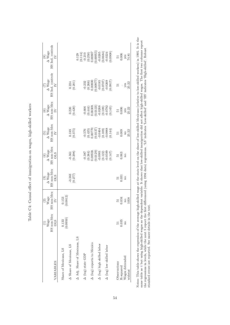| VARIABLES                                        | HS non-Mex<br>Wage<br><b>OLS</b> | HS non-Mex<br>$\frac{(2)}{Wage}$<br>$\geq$       | $\begin{array}{c} \hline (3) \\ \Delta \text{ Wage} \\   \text{ HS non-Mex} \\ \text{OLS} \end{array}$ | $\begin{array}{ccc}\n\text{(4)}\\ \Delta &\text{Wage} \\ \text{HS non-Mex} &\text{I-}\\ \underline{\text{OLS}}\n\end{array}$ | $\operatorname{HS}$ non-Mex $\operatorname{IV}$<br>(5)<br>$\Delta$ Wage                                                 | $\operatorname{HS}$ non-Mex $\operatorname{IV}$<br>$(6)$<br>$\Delta$ Wage                                                      | $\rm HS$ Ind. controls $\rm IV$<br>$\Delta$ Wage                                                                  | $\operatorname{HS}$ Ind. controls $\operatorname{IV}$<br>$\begin{array}{c} (8) \\ \Delta \text{ Wage} \end{array}$                           |
|--------------------------------------------------|----------------------------------|--------------------------------------------------|--------------------------------------------------------------------------------------------------------|------------------------------------------------------------------------------------------------------------------------------|-------------------------------------------------------------------------------------------------------------------------|--------------------------------------------------------------------------------------------------------------------------------|-------------------------------------------------------------------------------------------------------------------|----------------------------------------------------------------------------------------------------------------------------------------------|
| A Share of Mexicans, LS<br>Share of Mexicans, LS | (0.0950)<br>0.133                | $\begin{array}{c} 0.153 \\ (0.0812) \end{array}$ |                                                                                                        |                                                                                                                              |                                                                                                                         |                                                                                                                                |                                                                                                                   |                                                                                                                                              |
| Adj. Share of Mexicans, LS                       |                                  |                                                  | $-0.383$<br>(0.277)                                                                                    | $-0.361$<br>$(0.298)$                                                                                                        | $\frac{0.189}{(0.375)}$                                                                                                 | $(0.220)$<br>$(0.420)$                                                                                                         | $\begin{array}{c} 0.224 \\ (0.201) \end{array}$                                                                   |                                                                                                                                              |
| $\Delta$ (log) state GDP                         |                                  |                                                  |                                                                                                        |                                                                                                                              |                                                                                                                         |                                                                                                                                |                                                                                                                   | $\begin{array}{l} 0.129\\ (0.114)\\ -0.210\\ (0.250)\\ 0.00807\\ 0.00855\\ 0.00955\\ (0.00364)\\ -0.0264\\ (0.0684)\\ -0.0224\\ \end{array}$ |
| $\Delta$ (log) exports to Mexico                 |                                  |                                                  |                                                                                                        | $\begin{array}{c} -0.387 \\ (0.384) \\ 0.00938 \\ (0.0129) \\ (0.122) \\ (0.122) \\ (0.122) \\ (-0.599 \\ \end{array}$       | $\begin{array}{l} (0.576 \\ (0.435) \\ (0.00770 \\ (0.0137) \\ (0.137) \\ (0.194) \\ (0.109) \\ (0.109) \\ \end{array}$ | $\begin{array}{c} -0.666 \\ (0.444) \\ 0.00308 \\ 0.0133) \\ (0.0133) \\ (0.109) \\ (0.109) \\ (0.109) \\ -0.0792 \end{array}$ | $\begin{array}{c} -0.232 \\ (0.266) \\ 0.00800 \\ 0.00977 \\ -0.0185 \\ -0.0185 \\ -0.0269 \\ 0.0707 \end{array}$ |                                                                                                                                              |
|                                                  |                                  |                                                  |                                                                                                        |                                                                                                                              |                                                                                                                         |                                                                                                                                |                                                                                                                   |                                                                                                                                              |
| $\Delta$ (log) high skilled labor                |                                  |                                                  |                                                                                                        |                                                                                                                              |                                                                                                                         |                                                                                                                                |                                                                                                                   |                                                                                                                                              |
| $\Delta$ (log) low skilled labor                 |                                  |                                                  |                                                                                                        |                                                                                                                              |                                                                                                                         |                                                                                                                                |                                                                                                                   |                                                                                                                                              |
|                                                  |                                  |                                                  |                                                                                                        |                                                                                                                              |                                                                                                                         |                                                                                                                                |                                                                                                                   |                                                                                                                                              |
| Observations                                     |                                  |                                                  | $\begin{array}{c} 51 \\ 0.031 \end{array}$                                                             | $\frac{51}{0.063}$                                                                                                           |                                                                                                                         | $\frac{51}{0.006}$                                                                                                             | 51                                                                                                                |                                                                                                                                              |
| R-squared                                        | 0.035                            | 0.034                                            |                                                                                                        |                                                                                                                              | $\begin{array}{c} 51 \\ 0.009 \end{array}$                                                                              |                                                                                                                                |                                                                                                                   |                                                                                                                                              |
| Wages detrended<br>widstat                       | no                               | 1058<br>$\overline{\mathbf{n}}$                  | $\overline{n}$                                                                                         | no                                                                                                                           | 25.22<br>$_{\rm no}$                                                                                                    | $yes$<br>25.22                                                                                                                 | $yes$<br>$25.22$                                                                                                  | $\frac{51}{2006}$<br>$\frac{96}{14.81}$                                                                                                      |

Table C4: Causal effect of immigration on wages, high-skilled workers Table C4: Causal effect of immigration on wages, high-skilled workers Notes: This table shows the regression of the average high-skilled wage at the state level on the share of low-skilled Mexicans (relative to low-skilled workers) in 1995. It is the<br>same table as 4 but using high-skilled wa Notes: This table shows the regression of the average high-skilled wage at the state level on the share of low-skilled Mexicans (relative to low-skilled workers) in 1995. It is the same table as 4 but using high-skilled wages as the dependent variable. It shows that low-skilled immigration did not affect high-skilled wages. The first two columns report the regressions in levels, while the next 5 report the first differenced (using 1994 data) regressions. 'LS' indicates 'Low-skilled' and 'HS' indicates 'High-skilled'. Robust standard errors are reported. See more details in the text.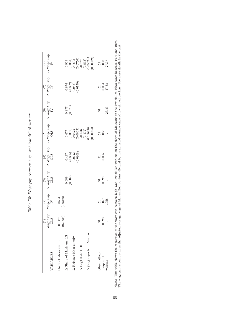| VARIABLES                        | Wage Gap<br><b>STC</b>  | $\begin{array}{c} \text{Wage Gap} \\ \text{IV} \end{array}$<br>$\widehat{\mathfrak{D}}$ | $\begin{array}{c} \hline (3) \\ - \hspace{.06cm} \Delta \hspace{.08cm} \text{Wage Gap} \hspace{.1in} \curvearrowleft \end{array}$ | $\Delta$ Wage Gap OLS<br>$\left(4\right)$                           | $\begin{array}{c} \hline (5) \\ \Delta \ \text{Wage Gap} \end{array} \big  \begin{array}{c} \hline \\ \end{array}$     | $\begin{array}{cc} \circ \\ \circ \\ \circ \\ \bullet \end{array}$<br>A Wage Gap $\quad \  \  \circ \bullet$ | $\begin{array}{cc} \Delta & (7) & \\ \Delta & \text{Wage Gap} & \text{ } \end{array}$ | $\Delta$ Wage Gap IV<br>$\circled{s}$                                                                                                                         |
|----------------------------------|-------------------------|-----------------------------------------------------------------------------------------|-----------------------------------------------------------------------------------------------------------------------------------|---------------------------------------------------------------------|------------------------------------------------------------------------------------------------------------------------|--------------------------------------------------------------------------------------------------------------|---------------------------------------------------------------------------------------|---------------------------------------------------------------------------------------------------------------------------------------------------------------|
| Share of Mexicans, LS            | $(0.0476$<br>$(0.0324)$ | (0.0564)                                                                                |                                                                                                                                   |                                                                     |                                                                                                                        |                                                                                                              |                                                                                       |                                                                                                                                                               |
| A Share of Mexicans, LS          |                         |                                                                                         | $\binom{0.389}{0.302}$                                                                                                            |                                                                     |                                                                                                                        | 0.877<br>778.0                                                                                               |                                                                                       |                                                                                                                                                               |
| $\Delta$ Relative labor supply   |                         |                                                                                         |                                                                                                                                   | $\begin{array}{c} 0.447 \\ (0.335) \\ 0.0422 \\ 0.0808 \end{array}$ |                                                                                                                        |                                                                                                              | $\begin{array}{c} 0.874 \\ (0.332) \\ 0.0687 \\ 0.0687 \end{array}$                   |                                                                                                                                                               |
| $\Delta$ (log) state GDP         |                         |                                                                                         |                                                                                                                                   |                                                                     |                                                                                                                        |                                                                                                              |                                                                                       |                                                                                                                                                               |
| $\Delta$ (log) exports to Mexico |                         |                                                                                         |                                                                                                                                   |                                                                     | $\begin{array}{l} 0.477\\ (0.319)\\ (0.0425\\ (0.0823)\\ (0.0823)\\ (0.472)\\ (0.472)\\ (0.472)\\ 0.00996 \end{array}$ |                                                                                                              |                                                                                       | $\begin{array}{c} (0.939 \\ (0.351) \\ (0.0698 \\ (0.0756) \\ (0.0756) \\ (0.537 \\ (0.533) \\ (0.00244 \\ (0.000244) \\ (0.000244) \\ (0.00032) \end{array}$ |
| Observations                     | 12                      |                                                                                         |                                                                                                                                   | $\begin{array}{c} 51 \\ 0.035 \end{array}$                          | $\frac{51}{0.038}$                                                                                                     | 55                                                                                                           |                                                                                       |                                                                                                                                                               |
| R-squared                        | .023                    | $\frac{51}{0.022}$                                                                      | $\frac{51}{0.028}$                                                                                                                |                                                                     |                                                                                                                        |                                                                                                              | $\frac{51}{0.004}$                                                                    | $\frac{51}{27.37}$                                                                                                                                            |
| widstat                          |                         |                                                                                         |                                                                                                                                   |                                                                     |                                                                                                                        | 23.83                                                                                                        |                                                                                       |                                                                                                                                                               |

Table C5: Wage gap between high- and low-skilled workers Table C5: Wage gap between high- and low-skilled workers Notes: This table shows the regression of the wage gap between high- and low-skilled workers on the share of Mexicans in the low-skilled labor force between 1994 and 1995.<br>The wage gap is computed as the adjusted average w Notes: This table shows the regression of the wage gap between high- and low-skilled workers on the share of Mexicans in the low-skilled labor force between 1994 and 1995. The wage gap is computed as the adjusted average wage of high-skilled workers, divided by the adjusted average wage of low-skilled workers. See more details in the text.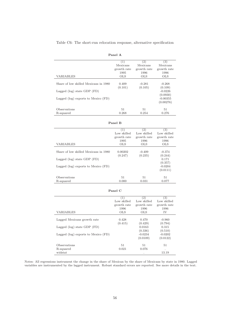Table C6: The short-run relocation response, alternative specification

| Panel A     |             |                  |
|-------------|-------------|------------------|
|             | 2)          | $\left(3\right)$ |
| Mexicans    | Mexicans    | Mexicans         |
| growth rate | growth rate | growth rate      |
| 1995        | 1996        | 1996             |
| <b>OLS</b>  | <b>OLS</b>  | <b>OLS</b>       |
|             |             |                  |

| Lagged $(log)$ state GDP $(FD)$         |       |       | $-0.0226$<br>(0.0930)   |
|-----------------------------------------|-------|-------|-------------------------|
| Lagged $(log)$ exports to Mexico $(FD)$ |       |       | $-0.00355$<br>(0.00276) |
| Observations                            | 51    | 51    | 51                      |
| R-squared                               | 0.268 | 0.254 | 0.276                   |

(0.101)  $(0.105)$   $(0.109)$ <br>-0.0226

Share of low skilled Mexicans in 1980 0.409 -0.281 -0.268 (0.101) (0.105) (0.109)

|                                         | (1)         | (2)         | (3)         |
|-----------------------------------------|-------------|-------------|-------------|
|                                         | Low skilled | Low skilled | Low skilled |
|                                         | growth rate | growth rate | growth rate |
|                                         | 1995        | 1996        | 1996        |
| <b>VARIABLES</b>                        | <b>OLS</b>  | <b>OLS</b>  | <b>OLS</b>  |
|                                         |             |             |             |
| Share of low skilled Mexicans in 1980   | 0.00202     | $-0.409$    | $-0.374$    |
|                                         | (0.247)     | (0.235)     | (0.244)     |
| Lagged $(log)$ state GDP $(FD)$         |             |             | 0.171       |
|                                         |             |             | (0.357)     |
| Lagged $(log)$ exports to Mexico $(FD)$ |             |             | $-0.0204$   |
|                                         |             |             | (0.0111)    |
|                                         |             |             |             |
| Observations                            | 51          | 51          | 51          |
| R-squared                               | 0.000       | 0.031       | 0.077       |

# **Panel B**

#### **Panel C**

|                                     | (1)         | (2)         | (3)         |
|-------------------------------------|-------------|-------------|-------------|
|                                     | Low skilled | Low skilled | Low skilled |
|                                     | growth rate | growth rate | growth rate |
|                                     | 1996        | 1996        | 1996        |
| VARIABLES                           | <b>OLS</b>  | <b>OLS</b>  | IV          |
|                                     |             |             |             |
| Lagged Mexicans growth rate         | 0.428       | 0.470       | $-0.960$    |
|                                     | (0.415)     | (0.429)     | (0.794)     |
| Lagged $(log)$ state GDP $(FD)$     |             | 0.0163      | 0.315       |
|                                     |             | (0.336)     | (0.510)     |
| Lagged (log) exports to Mexico (FD) |             | $-0.0234$   | $-0.0202$   |
|                                     |             | (0.0109)    | (0.0122)    |
|                                     |             |             |             |
| Observations                        | 51          | 51          | 51          |
| R-squared                           | 0.021       | 0.076       | ٠           |
| widstat                             |             | ٠           | 13.19       |

Notes: All regressions instrument the change in the share of Mexican by the share of Mexicans by state in 1980. Lagged variables are instrumented by the lagged instrument. Robust standard errors are reported. See more details in the text.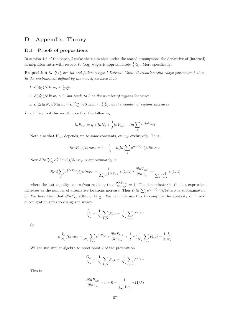# **D Appendix: Theory**

#### **D.1 Proofs of propositions**

In section 4.2 of the paper, I make the claim that under the stated assumptions the derivative of (internal) in-migration rates with respect to (log) wages is approximately  $\frac{1}{\lambda} \frac{I_s}{N_s}$ . More specifically:

**Proposition 3.** If  $\epsilon_s^i$  are iid and follow a type I Extreme Value distribution with shape parameter  $\lambda$  then, *in the environment defined by the model, we have that:*

- *1.*  $\partial(\frac{I_s}{N_s})/\partial \ln w_s ≈ \frac{1}{\lambda}$  $\frac{1}{\lambda} \frac{I_s}{N_s}$
- *2.*  $\partial(\frac{O_s}{N_s})$ */* $\partial \ln w_s > 0$ , but tends to 0 as the number of regions increases
- *3.*  $\partial(\Delta \ln N_s)/\partial \ln w_s \approx \partial(\frac{\Delta N_s}{N_s})/\partial \ln w_s \approx \frac{1}{\lambda}$  $\frac{1}{\lambda} \frac{I_s}{N_s}$ , as the number of regions increases

*Proof.* To proof this result, note first the following:

$$
ln P_{s,s'} = \eta + ln N_s + \frac{1}{\lambda} ln V_{s,s'} - ln(\sum_j e^{\frac{1}{\lambda} ln V_{s,j}})
$$

Note also that  $V_{s,s'}$  depends, up to some constants, on  $w_{s'}$  exclusively. Thus,

$$
\partial ln P_{s,s'}/\partial ln w_{s'} = 0 + \frac{1}{\lambda} - \partial (ln(\sum_j e^{\frac{1}{\lambda}ln V_{s,j}}))/\partial ln w_{s'}
$$

Now  $\partial (ln(\sum_j e^{\frac{1}{\lambda}lnV_{s,j}}))/\partial ln w_{s'}$  is approximately 0:

$$
\partial (ln(\sum_j e^{\frac{1}{\lambda}lnV_{s,j}}))/\partial ln w_{s'} = \frac{1}{\sum_j e^{\frac{1}{\lambda}lnV_{s,j}}}*(1/\lambda)*\frac{\partial lnV_{s,s'}}{\partial lnw_{s'}} = \frac{1}{\sum_j V_{s,j}^{\frac{1}{\lambda}}}*(1/\lambda)
$$

where the last equality comes from realizing that  $\frac{\partial ln V_{s,s'}}{\partial ln w_{s'}} = 1$ . The denominator in the last expression increases as the number of alternative locations increase. Thus  $\partial (ln(\sum_j e^{\frac{1}{\lambda}lnV_{s,j}}))/\partial ln w_{s'}$  is approximately 0. We have then that  $\partial lnP_{s,s'}/\partial lnw_{s'} \approx \frac{1}{\lambda}$  $\frac{1}{\lambda}$ . We can now use this to compute the elasticity of in and out-migration rates to changes in wages:

$$
\frac{I_s}{N_s} = \frac{1}{N_s} \sum_{k \neq s} P_{k,s} = \frac{1}{N_s} \sum_{k \neq s} e^{lnP_{k,s}}
$$

So,

$$
\partial \frac{I_s}{N_s} / \partial l n w_s = \frac{1}{N_s} \sum_{k \neq s} e^{l n P_{k,s}} * \frac{\partial l n P_{k,s}}{\partial l n w_s} \approx \frac{1}{\lambda} * \left( \frac{1}{N_s} \sum_{k \neq s} P_{k,s} \right) = \frac{1}{\lambda} \frac{I_s}{N_s}
$$

We can use similar algebra to proof point 2 of the proposition.

$$
\frac{O_s}{N_s} = \frac{1}{N_s} \sum_{k \neq s} P_{s,k} = \frac{1}{N_s} \sum_{k \neq s} e^{lnP_{s,k}}
$$

This is:

$$
\frac{\partial ln P_{s,k}}{\partial ln w_s} = 0 + 0 - \frac{1}{\sum_j V_{s,j}^{\frac{1}{\lambda}}}(1/\lambda)
$$